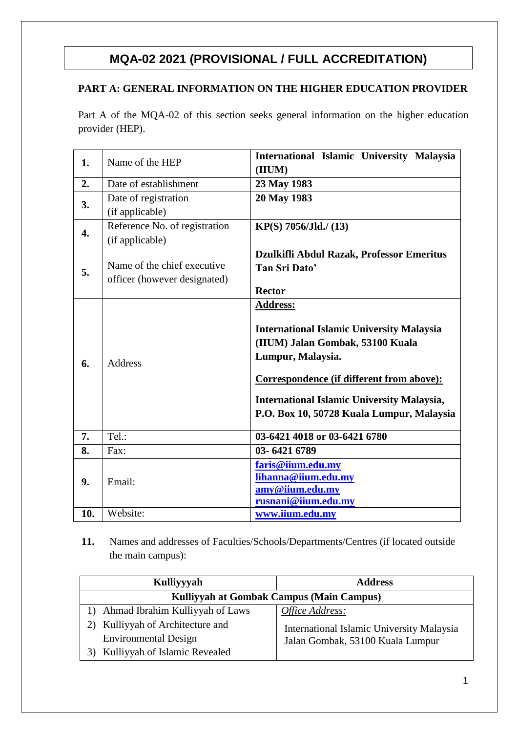# **MQA-02 2021 (PROVISIONAL / FULL ACCREDITATION)**

# **PART A: GENERAL INFORMATION ON THE HIGHER EDUCATION PROVIDER**

Part A of the MQA-02 of this section seeks general information on the higher education provider (HEP).

| 1.  | Name of the HEP                                             | International Islamic University Malaysia<br>(IIUM)                                                                                                                                                                                                                         |  |  |  |  |  |  |
|-----|-------------------------------------------------------------|-----------------------------------------------------------------------------------------------------------------------------------------------------------------------------------------------------------------------------------------------------------------------------|--|--|--|--|--|--|
| 2.  | Date of establishment                                       | 23 May 1983                                                                                                                                                                                                                                                                 |  |  |  |  |  |  |
| 3.  | Date of registration<br>(if applicable)                     | 20 May 1983                                                                                                                                                                                                                                                                 |  |  |  |  |  |  |
| 4.  | Reference No. of registration<br>(if applicable)            | KP(S) 7056/Jld./ (13)                                                                                                                                                                                                                                                       |  |  |  |  |  |  |
| 5.  | Name of the chief executive<br>officer (however designated) | Dzulkifli Abdul Razak, Professor Emeritus<br>Tan Sri Dato'<br><b>Rector</b>                                                                                                                                                                                                 |  |  |  |  |  |  |
| 6.  | <b>Address</b>                                              | <b>Address:</b><br><b>International Islamic University Malaysia</b><br>(IIUM) Jalan Gombak, 53100 Kuala<br>Lumpur, Malaysia.<br>Correspondence (if different from above):<br><b>International Islamic University Malaysia,</b><br>P.O. Box 10, 50728 Kuala Lumpur, Malaysia |  |  |  |  |  |  |
| 7.  | Tel.:                                                       | 03-6421 4018 or 03-6421 6780                                                                                                                                                                                                                                                |  |  |  |  |  |  |
| 8.  | Fax:                                                        | 03-6421 6789                                                                                                                                                                                                                                                                |  |  |  |  |  |  |
| 9.  | Email:                                                      | faris@iium.edu.my<br>lihanna@iium.edu.my<br>amy@iium.edu.my<br>rusnani@iium.edu.my                                                                                                                                                                                          |  |  |  |  |  |  |
| 10. | Website:                                                    | www.iium.edu.my                                                                                                                                                                                                                                                             |  |  |  |  |  |  |

**11.** Names and addresses of Faculties/Schools/Departments/Centres (if located outside the main campus):

| Kulliyyyah                               | <b>Address</b>                            |  |  |  |  |  |  |
|------------------------------------------|-------------------------------------------|--|--|--|--|--|--|
| Kulliyyah at Gombak Campus (Main Campus) |                                           |  |  |  |  |  |  |
| Ahmad Ibrahim Kulliyyah of Laws          | Office Address:                           |  |  |  |  |  |  |
| Kulliyyah of Architecture and<br>2)      | International Islamic University Malaysia |  |  |  |  |  |  |
| <b>Environmental Design</b>              | Jalan Gombak, 53100 Kuala Lumpur          |  |  |  |  |  |  |
| Kulliyyah of Islamic Revealed<br>3)      |                                           |  |  |  |  |  |  |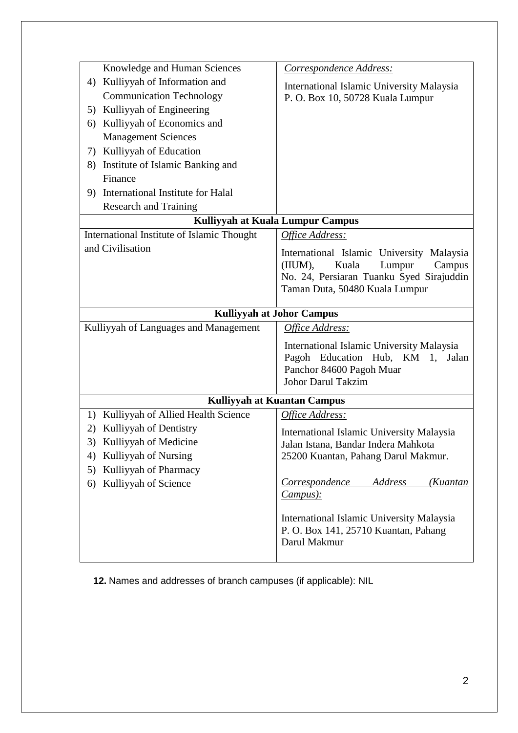|    | Knowledge and Human Sciences               | Correspondence Address:                   |
|----|--------------------------------------------|-------------------------------------------|
| 4) | Kulliyyah of Information and               | International Islamic University Malaysia |
|    | <b>Communication Technology</b>            | P. O. Box 10, 50728 Kuala Lumpur          |
| 5) | Kulliyyah of Engineering                   |                                           |
| 6) | Kulliyyah of Economics and                 |                                           |
|    | <b>Management Sciences</b>                 |                                           |
| 7) | Kulliyyah of Education                     |                                           |
| 8) | Institute of Islamic Banking and           |                                           |
|    | Finance                                    |                                           |
|    | 9) International Institute for Halal       |                                           |
|    | <b>Research and Training</b>               |                                           |
|    | Kulliyyah at Kuala Lumpur Campus           |                                           |
|    | International Institute of Islamic Thought | Office Address:                           |
|    | and Civilisation                           | International Islamic University Malaysia |
|    |                                            | Kuala<br>(IIUM),<br>Lumpur<br>Campus      |
|    |                                            | No. 24, Persiaran Tuanku Syed Sirajuddin  |
|    |                                            | Taman Duta, 50480 Kuala Lumpur            |
|    | <b>Kulliyyah at Johor Campus</b>           |                                           |
|    |                                            |                                           |
|    | Kulliyyah of Languages and Management      | Office Address:                           |
|    |                                            | International Islamic University Malaysia |
|    |                                            | Pagoh Education Hub, KM 1, Jalan          |
|    |                                            | Panchor 84600 Pagoh Muar                  |
|    |                                            | <b>Johor Darul Takzim</b>                 |
|    | <b>Kulliyyah at Kuantan Campus</b>         |                                           |
| 1) | Kulliyyah of Allied Health Science         | Office Address:                           |
| 2) | Kulliyyah of Dentistry                     | International Islamic University Malaysia |
| 3) | Kulliyyah of Medicine                      | Jalan Istana, Bandar Indera Mahkota       |
| 4) | Kulliyyah of Nursing                       | 25200 Kuantan, Pahang Darul Makmur.       |
| 5) | Kulliyyah of Pharmacy                      |                                           |
| 6) | Kulliyyah of Science                       | Correspondence<br>Address<br>(Kuantan     |
|    |                                            | $Campus$ :                                |
|    |                                            | International Islamic University Malaysia |
|    |                                            | P. O. Box 141, 25710 Kuantan, Pahang      |
|    |                                            | Darul Makmur                              |
|    |                                            |                                           |
|    |                                            |                                           |

**12.** Names and addresses of branch campuses (if applicable): NIL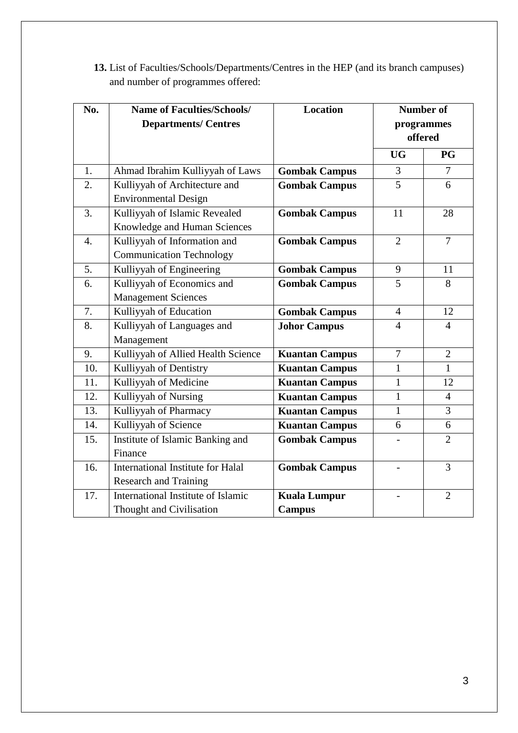| <b>13.</b> List of Faculties/Schools/Departments/Centres in the HEP (and its branch campuses) |
|-----------------------------------------------------------------------------------------------|
| and number of programmes offered:                                                             |

| No.              | <b>Name of Faculties/Schools/</b>  | <b>Location</b>       | <b>Number of</b> |                |  |  |
|------------------|------------------------------------|-----------------------|------------------|----------------|--|--|
|                  | <b>Departments/ Centres</b>        |                       |                  | programmes     |  |  |
|                  |                                    |                       |                  | offered        |  |  |
|                  |                                    |                       | <b>UG</b>        | <b>PG</b>      |  |  |
| 1.               | Ahmad Ibrahim Kulliyyah of Laws    | <b>Gombak Campus</b>  | 3                | $\overline{7}$ |  |  |
| 2.               | Kulliyyah of Architecture and      | <b>Gombak Campus</b>  | $\overline{5}$   | 6              |  |  |
|                  | <b>Environmental Design</b>        |                       |                  |                |  |  |
| 3.               | Kulliyyah of Islamic Revealed      | <b>Gombak Campus</b>  | 11               | 28             |  |  |
|                  | Knowledge and Human Sciences       |                       |                  |                |  |  |
| $\overline{4}$ . | Kulliyyah of Information and       | <b>Gombak Campus</b>  | $\overline{2}$   | $\overline{7}$ |  |  |
|                  | <b>Communication Technology</b>    |                       |                  |                |  |  |
| 5.               | Kulliyyah of Engineering           | <b>Gombak Campus</b>  | 9                | 11             |  |  |
| 6.               | Kulliyyah of Economics and         | <b>Gombak Campus</b>  | 5                | 8              |  |  |
|                  | <b>Management Sciences</b>         |                       |                  |                |  |  |
| 7.               | Kulliyyah of Education             | <b>Gombak Campus</b>  | $\overline{4}$   | 12             |  |  |
| 8.               | Kulliyyah of Languages and         | <b>Johor Campus</b>   | $\overline{4}$   | $\overline{4}$ |  |  |
|                  | Management                         |                       |                  |                |  |  |
| 9.               | Kulliyyah of Allied Health Science | <b>Kuantan Campus</b> | $\overline{7}$   | $\overline{2}$ |  |  |
| 10.              | Kulliyyah of Dentistry             | <b>Kuantan Campus</b> | $\mathbf{1}$     | $\mathbf{1}$   |  |  |
| 11.              | Kulliyyah of Medicine              | <b>Kuantan Campus</b> | $\mathbf{1}$     | 12             |  |  |
| 12.              | Kulliyyah of Nursing               | <b>Kuantan Campus</b> | $\mathbf{1}$     | $\overline{4}$ |  |  |
| 13.              | Kulliyyah of Pharmacy              | <b>Kuantan Campus</b> | $\mathbf{1}$     | 3              |  |  |
| 14.              | Kulliyyah of Science               | <b>Kuantan Campus</b> | 6                | 6              |  |  |
| 15.              | Institute of Islamic Banking and   | <b>Gombak Campus</b>  |                  | $\overline{2}$ |  |  |
|                  | Finance                            |                       |                  |                |  |  |
| 16.              | International Institute for Halal  | <b>Gombak Campus</b>  |                  | 3              |  |  |
|                  | <b>Research and Training</b>       |                       |                  |                |  |  |
| 17.              | International Institute of Islamic | <b>Kuala Lumpur</b>   |                  | $\overline{2}$ |  |  |
|                  | Thought and Civilisation           | <b>Campus</b>         |                  |                |  |  |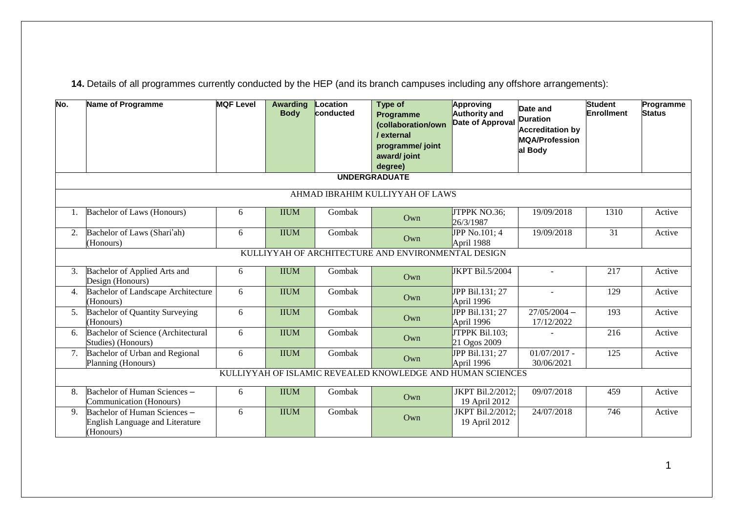**14.** Details of all programmes currently conducted by the HEP (and its branch campuses including any offshore arrangements):

| No. | Name of Programme                                                            | <b>MQF Level</b> | <b>Awarding</b><br><b>Body</b> | Location<br>conducted | Type of<br>Programme<br>(collaboration/own<br>/ external<br>programme/ joint<br>award/ joint<br>degree) | Approving<br><b>Authority and</b><br>Date of Approval | Date and<br><b>Duration</b><br><b>Accreditation by</b><br><b>MQA/Profession</b><br>al Body | <b>Student</b><br><b>Enrollment</b> | Programme<br><b>Status</b> |  |  |  |
|-----|------------------------------------------------------------------------------|------------------|--------------------------------|-----------------------|---------------------------------------------------------------------------------------------------------|-------------------------------------------------------|--------------------------------------------------------------------------------------------|-------------------------------------|----------------------------|--|--|--|
|     | <b>UNDERGRADUATE</b>                                                         |                  |                                |                       |                                                                                                         |                                                       |                                                                                            |                                     |                            |  |  |  |
|     | AHMAD IBRAHIM KULLIYYAH OF LAWS                                              |                  |                                |                       |                                                                                                         |                                                       |                                                                                            |                                     |                            |  |  |  |
| 1.  | Bachelor of Laws (Honours)                                                   | 6                | <b>IIUM</b>                    | Gombak                | Own                                                                                                     | JTPPK NO.36;<br>26/3/1987                             | 19/09/2018                                                                                 | 1310                                | Active                     |  |  |  |
| 2.  | Bachelor of Laws (Shari'ah)<br>(Honours)                                     | 6                | <b>IIUM</b>                    | Gombak                | Own                                                                                                     | JPP No.101; 4<br>April 1988                           | 19/09/2018                                                                                 | 31                                  | Active                     |  |  |  |
|     |                                                                              |                  |                                |                       | KULLIYYAH OF ARCHITECTURE AND ENVIRONMENTAL DESIGN                                                      |                                                       |                                                                                            |                                     |                            |  |  |  |
| 3.  | Bachelor of Applied Arts and<br>Design (Honours)                             | 6                | <b>IIUM</b>                    | Gombak                | Own                                                                                                     | <b>JKPT Bil.5/2004</b>                                | $\sim$                                                                                     | 217                                 | Active                     |  |  |  |
| 4.  | <b>Bachelor of Landscape Architecture</b><br>(Honours)                       | 6                | <b>IIUM</b>                    | Gombak                | Own                                                                                                     | <b>JPP Bil.131; 27</b><br>April 1996                  | $\overline{a}$                                                                             | $\overline{129}$                    | Active                     |  |  |  |
| 5.  | <b>Bachelor of Quantity Surveying</b><br>(Honours)                           | 6                | <b>IIUM</b>                    | Gombak                | Own                                                                                                     | JPP Bil.131; 27<br>April 1996                         | $27/05/2004 -$<br>17/12/2022                                                               | 193                                 | Active                     |  |  |  |
| 6.  | <b>Bachelor of Science (Architectural</b><br>Studies) (Honours)              | 6                | <b>IIUM</b>                    | Gombak                | Own                                                                                                     | JTPPK Bil.103;<br>21 Ogos 2009                        |                                                                                            | 216                                 | Active                     |  |  |  |
| 7.  | Bachelor of Urban and Regional<br>Planning (Honours)                         | 6                | <b>IIUM</b>                    | Gombak                | Own                                                                                                     | JPP Bil.131; 27<br>April 1996                         | $01/07/2017$ -<br>30/06/2021                                                               | 125                                 | Active                     |  |  |  |
|     |                                                                              |                  |                                |                       | KULLIYYAH OF ISLAMIC REVEALED KNOWLEDGE AND HUMAN SCIENCES                                              |                                                       |                                                                                            |                                     |                            |  |  |  |
| 8.  | Bachelor of Human Sciences -<br>Communication (Honours)                      | 6                | <b>IIUM</b>                    | Gombak                | Own                                                                                                     | JKPT Bil.2/2012;<br>19 April 2012                     | 09/07/2018                                                                                 | 459                                 | Active                     |  |  |  |
| 9.  | Bachelor of Human Sciences -<br>English Language and Literature<br>(Honours) | 6                | <b>IIUM</b>                    | Gombak                | Own                                                                                                     | JKPT Bil.2/2012;<br>19 April 2012                     | 24/07/2018                                                                                 | 746                                 | Active                     |  |  |  |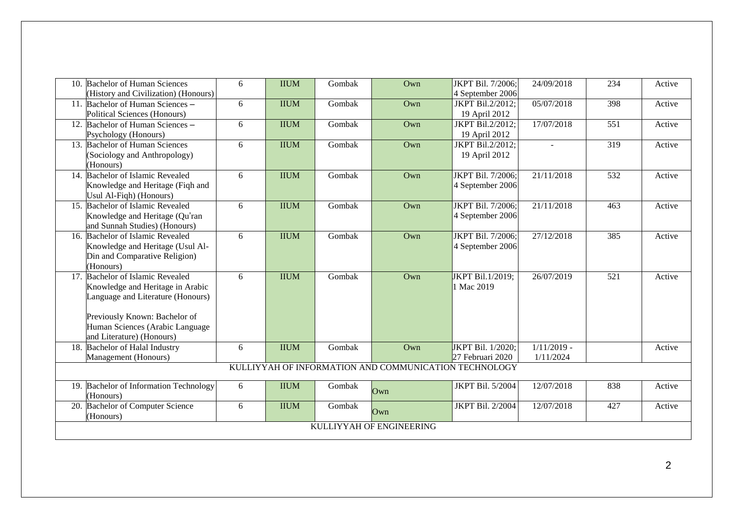| <b>Bachelor of Human Sciences</b><br>10.                                                                                                                                                | 6 | <b>IIUM</b> | Gombak | Own                                                   | JKPT Bil. 7/2006;                                     | 24/09/2018                 | 234              | Active |
|-----------------------------------------------------------------------------------------------------------------------------------------------------------------------------------------|---|-------------|--------|-------------------------------------------------------|-------------------------------------------------------|----------------------------|------------------|--------|
| (History and Civilization) (Honours)<br>Bachelor of Human Sciences -<br>11.<br>Political Sciences (Honours)                                                                             | 6 | <b>IIUM</b> | Gombak | Own                                                   | 4 September 2006<br>JKPT Bil.2/2012;<br>19 April 2012 | 05/07/2018                 | 398              | Active |
| 12. Bachelor of Human Sciences -<br>Psychology (Honours)                                                                                                                                | 6 | <b>IIUM</b> | Gombak | Own                                                   | JKPT Bil.2/2012;<br>19 April 2012                     | 17/07/2018                 | 551              | Active |
| 13. Bachelor of Human Sciences<br>(Sociology and Anthropology)<br>(Honours)                                                                                                             | 6 | <b>IIUM</b> | Gombak | Own                                                   | JKPT Bil.2/2012;<br>19 April 2012                     |                            | $\overline{319}$ | Active |
| 14. Bachelor of Islamic Revealed<br>Knowledge and Heritage (Fiqh and<br>Usul Al-Fiqh) (Honours)                                                                                         | 6 | <b>IIUM</b> | Gombak | Own                                                   | JKPT Bil. 7/2006;<br>4 September 2006                 | 21/11/2018                 | 532              | Active |
| 15. Bachelor of Islamic Revealed<br>Knowledge and Heritage (Qu'ran<br>and Sunnah Studies) (Honours)                                                                                     | 6 | <b>IIUM</b> | Gombak | Own                                                   | JKPT Bil. 7/2006;<br>4 September 2006                 | 21/11/2018                 | 463              | Active |
| Bachelor of Islamic Revealed<br>16.<br>Knowledge and Heritage (Usul Al-<br>Din and Comparative Religion)<br>(Honours)                                                                   | 6 | <b>IIUM</b> | Gombak | Own                                                   | JKPT Bil. 7/2006;<br>4 September 2006                 | 27/12/2018                 | 385              | Active |
| <b>Bachelor of Islamic Revealed</b><br>17.<br>Knowledge and Heritage in Arabic<br>Language and Literature (Honours)<br>Previously Known: Bachelor of<br>Human Sciences (Arabic Language | 6 | <b>IIUM</b> | Gombak | Own                                                   | JKPT Bil.1/2019;<br>1 Mac 2019                        | 26/07/2019                 | 521              | Active |
| and Literature) (Honours)                                                                                                                                                               |   |             |        |                                                       |                                                       |                            |                  |        |
| Bachelor of Halal Industry<br>18.<br>Management (Honours)                                                                                                                               | 6 | <b>IIUM</b> | Gombak | Own                                                   | JKPT Bil. 1/2020;<br>27 Februari 2020                 | $1/11/2019$ -<br>1/11/2024 |                  | Active |
|                                                                                                                                                                                         |   |             |        | KULLIYYAH OF INFORMATION AND COMMUNICATION TECHNOLOGY |                                                       |                            |                  |        |
| <b>Bachelor of Information Technology</b><br>19.<br>(Honours)                                                                                                                           | 6 | <b>IIUM</b> | Gombak | Own                                                   | JKPT Bil. 5/2004                                      | 12/07/2018                 | 838              | Active |
| <b>Bachelor of Computer Science</b><br>20.<br>(Honours)                                                                                                                                 | 6 | <b>IIUM</b> | Gombak | Own                                                   | JKPT Bil. 2/2004                                      | 12/07/2018                 | 427              | Active |
|                                                                                                                                                                                         |   |             |        | KULLIYYAH OF ENGINEERING                              |                                                       |                            |                  |        |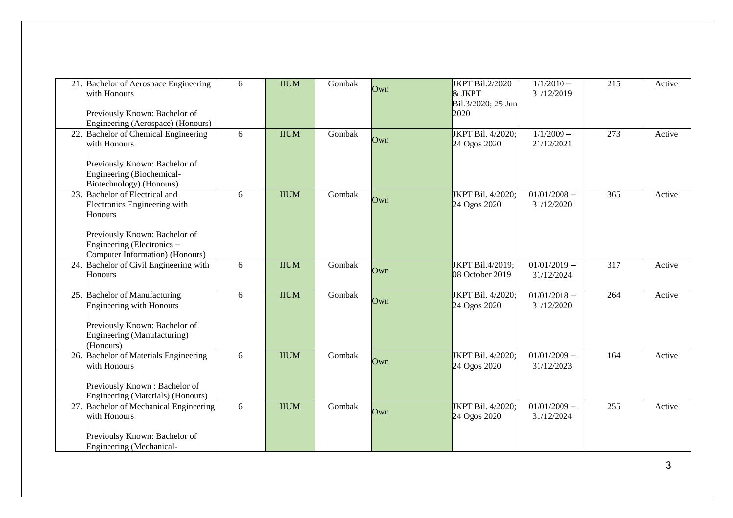|     | 21. Bachelor of Aerospace Engineering<br>with Honours<br>Previously Known: Bachelor of         | 6 | <b>IIUM</b> | Gombak | Own | JKPT Bil.2/2020<br>& JKPT<br>Bil.3/2020; 25 Jun<br>2020 | $1/1/2010 -$<br>31/12/2019   | 215 | Active |
|-----|------------------------------------------------------------------------------------------------|---|-------------|--------|-----|---------------------------------------------------------|------------------------------|-----|--------|
|     | Engineering (Aerospace) (Honours)                                                              |   |             |        |     |                                                         |                              |     |        |
|     | 22. Bachelor of Chemical Engineering<br>with Honours<br>Previously Known: Bachelor of          | 6 | <b>IIUM</b> | Gombak | Own | JKPT Bil. 4/2020;<br>24 Ogos 2020                       | $1/1/2009 -$<br>21/12/2021   | 273 | Active |
|     | Engineering (Biochemical-<br>Biotechnology) (Honours)                                          |   |             |        |     |                                                         |                              |     |        |
| 23. | Bachelor of Electrical and<br>Electronics Engineering with<br><b>Honours</b>                   | 6 | <b>IIUM</b> | Gombak | Own | JKPT Bil. 4/2020;<br>24 Ogos 2020                       | $01/01/2008 -$<br>31/12/2020 | 365 | Active |
|     | Previously Known: Bachelor of<br>Engineering (Electronics -<br>Computer Information) (Honours) |   |             |        |     |                                                         |                              |     |        |
|     | 24. Bachelor of Civil Engineering with<br><b>Honours</b>                                       | 6 | <b>IIUM</b> | Gombak | Own | JKPT Bil.4/2019;<br>08 October 2019                     | $01/01/2019 -$<br>31/12/2024 | 317 | Active |
|     | 25. Bachelor of Manufacturing<br><b>Engineering with Honours</b>                               | 6 | <b>IIUM</b> | Gombak | Own | JKPT Bil. 4/2020;<br>24 Ogos 2020                       | $01/01/2018 -$<br>31/12/2020 | 264 | Active |
|     | Previously Known: Bachelor of<br>Engineering (Manufacturing)<br>(Honours)                      |   |             |        |     |                                                         |                              |     |        |
|     | 26. Bachelor of Materials Engineering<br>with Honours                                          | 6 | <b>IIUM</b> | Gombak | Own | JKPT Bil. 4/2020;<br>24 Ogos 2020                       | $01/01/2009 -$<br>31/12/2023 | 164 | Active |
|     | Previously Known: Bachelor of<br>Engineering (Materials) (Honours)                             |   |             |        |     |                                                         |                              |     |        |
|     | 27. Bachelor of Mechanical Engineering<br>with Honours                                         | 6 | <b>IIUM</b> | Gombak | Own | JKPT Bil. 4/2020;<br>24 Ogos 2020                       | $01/01/2009 -$<br>31/12/2024 | 255 | Active |
|     | Previoulsy Known: Bachelor of<br>Engineering (Mechanical-                                      |   |             |        |     |                                                         |                              |     |        |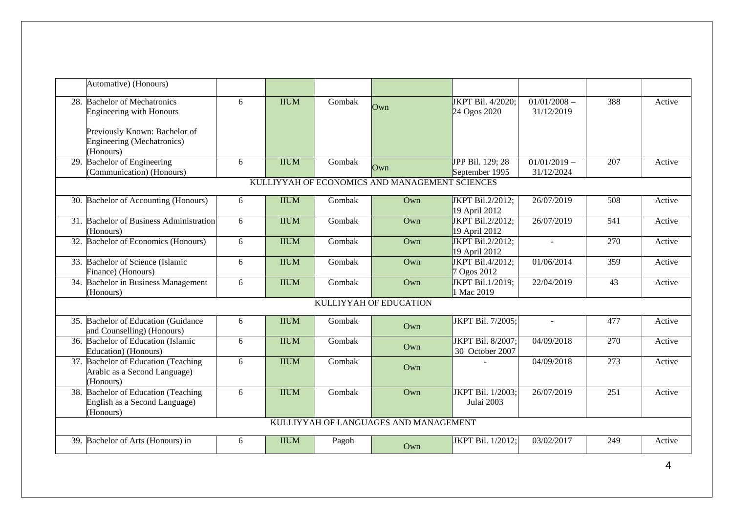|                                                | Automative) (Honours)                                                                                                                 |   |             |        |                                       |                                          |                              |                  |        |  |  |
|------------------------------------------------|---------------------------------------------------------------------------------------------------------------------------------------|---|-------------|--------|---------------------------------------|------------------------------------------|------------------------------|------------------|--------|--|--|
|                                                | 28. Bachelor of Mechatronics<br><b>Engineering with Honours</b><br>Previously Known: Bachelor of<br><b>Engineering (Mechatronics)</b> | 6 | <b>IIUM</b> | Gombak | Own                                   | JKPT Bil. 4/2020;<br>24 Ogos 2020        | $01/01/2008 -$<br>31/12/2019 | 388              | Active |  |  |
|                                                | (Honours)<br>29. Bachelor of Engineering<br>(Communication) (Honours)                                                                 | 6 | <b>IIUM</b> | Gombak | Own                                   | JPP Bil. 129; 28<br>September 1995       | $01/01/2019 -$<br>31/12/2024 | 207              | Active |  |  |
| KULLIYYAH OF ECONOMICS AND MANAGEMENT SCIENCES |                                                                                                                                       |   |             |        |                                       |                                          |                              |                  |        |  |  |
|                                                | 30. Bachelor of Accounting (Honours)                                                                                                  | 6 | <b>IIUM</b> | Gombak | Own                                   | JKPT Bil.2/2012;<br>19 April 2012        | 26/07/2019                   | 508              | Active |  |  |
|                                                | 31. Bachelor of Business Administration<br>(Honours)                                                                                  | 6 | <b>IIUM</b> | Gombak | Own                                   | <b>JKPT Bil.2/2012;</b><br>19 April 2012 | 26/07/2019                   | 541              | Active |  |  |
| 32.                                            | Bachelor of Economics (Honours)                                                                                                       | 6 | <b>IIUM</b> | Gombak | Own                                   | <b>JKPT Bil.2/2012;</b><br>19 April 2012 | $\sim$                       | 270              | Active |  |  |
|                                                | 33. Bachelor of Science (Islamic<br>Finance) (Honours)                                                                                | 6 | <b>IIUM</b> | Gombak | Own                                   | JKPT Bil.4/2012;<br>7 Ogos 2012          | 01/06/2014                   | 359              | Active |  |  |
| 34.                                            | Bachelor in Business Management<br>(Honours)                                                                                          | 6 | <b>IIUM</b> | Gombak | Own                                   | JKPT Bil.1/2019;<br>1 Mac 2019           | 22/04/2019                   | 43               | Active |  |  |
|                                                |                                                                                                                                       |   |             |        | KULLIYYAH OF EDUCATION                |                                          |                              |                  |        |  |  |
|                                                | 35. Bachelor of Education (Guidance)<br>and Counselling) (Honours)                                                                    | 6 | <b>IIUM</b> | Gombak | Own                                   | JKPT Bil. 7/2005;                        | $\overline{a}$               | 477              | Active |  |  |
| 36.                                            | <b>Bachelor of Education (Islamic</b><br><b>Education</b> ) (Honours)                                                                 | 6 | <b>IIUM</b> | Gombak | Own                                   | JKPT Bil. 8/2007;<br>30 October 2007     | 04/09/2018                   | 270              | Active |  |  |
|                                                | 37. Bachelor of Education (Teaching<br>Arabic as a Second Language)<br>(Honours)                                                      | 6 | <b>IIUM</b> | Gombak | Own                                   |                                          | 04/09/2018                   | $\overline{273}$ | Active |  |  |
| 38.                                            | Bachelor of Education (Teaching<br>English as a Second Language)<br>(Honours)                                                         | 6 | <b>IIUM</b> | Gombak | Own                                   | JKPT Bil. 1/2003;<br>Julai 2003          | 26/07/2019                   | 251              | Active |  |  |
|                                                |                                                                                                                                       |   |             |        | KULLIYYAH OF LANGUAGES AND MANAGEMENT |                                          |                              |                  |        |  |  |
| 39.                                            | Bachelor of Arts (Honours) in                                                                                                         | 6 | <b>IIUM</b> | Pagoh  | $Qw$ n                                | JKPT Bil. 1/2012;                        | 03/02/2017                   | 249              | Active |  |  |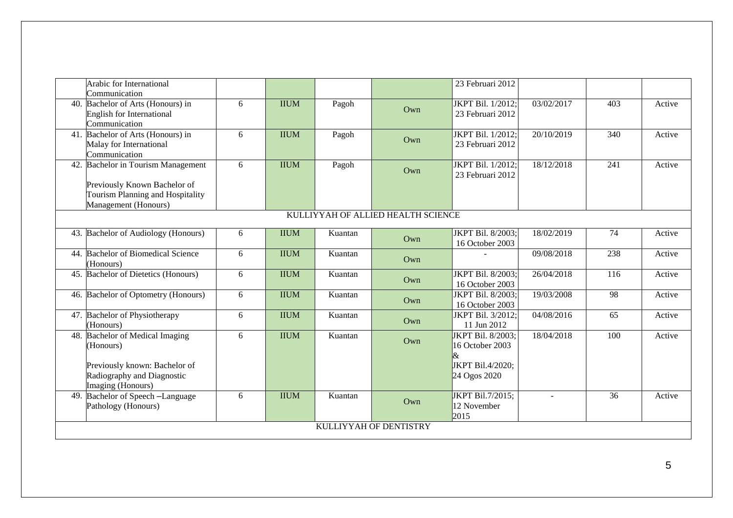|     | Arabic for International<br>Communication                                                                                           |   |             |         |     | 23 Februari 2012                                                         |                |                 |        |  |  |
|-----|-------------------------------------------------------------------------------------------------------------------------------------|---|-------------|---------|-----|--------------------------------------------------------------------------|----------------|-----------------|--------|--|--|
| 40. | Bachelor of Arts (Honours) in<br><b>English for International</b><br>Communication                                                  | 6 | <b>IIUM</b> | Pagoh   | Own | JKPT Bil. 1/2012;<br>23 Februari 2012                                    | 03/02/2017     | 403             | Active |  |  |
|     | 41. Bachelor of Arts (Honours) in<br>Malay for International<br>Communication                                                       | 6 | <b>IIUM</b> | Pagoh   | Own | JKPT Bil. 1/2012;<br>23 Februari 2012                                    | 20/10/2019     | 340             | Active |  |  |
| 42  | <b>Bachelor in Tourism Management</b><br>Previously Known Bachelor of<br>Tourism Planning and Hospitality<br>Management (Honours)   | 6 | <b>IIUM</b> | Pagoh   | Own | JKPT Bil. 1/2012;<br>23 Februari 2012                                    | 18/12/2018     | 241             | Active |  |  |
|     | KULLIYYAH OF ALLIED HEALTH SCIENCE                                                                                                  |   |             |         |     |                                                                          |                |                 |        |  |  |
|     | 43. Bachelor of Audiology (Honours)                                                                                                 | 6 | <b>IIUM</b> | Kuantan | Own | JKPT Bil. 8/2003;<br>16 October 2003                                     | 18/02/2019     | 74              | Active |  |  |
| 44. | <b>Bachelor of Biomedical Science</b><br>(Honours)                                                                                  | 6 | <b>IIUM</b> | Kuantan | Own |                                                                          | 09/08/2018     | 238             | Active |  |  |
| 45. | Bachelor of Dietetics (Honours)                                                                                                     | 6 | <b>IIUM</b> | Kuantan | Own | JKPT Bil. 8/2003;<br>16 October 2003                                     | 26/04/2018     | 116             | Active |  |  |
| 46. | Bachelor of Optometry (Honours)                                                                                                     | 6 | <b>IIUM</b> | Kuantan | Own | JKPT Bil. 8/2003;<br>16 October 2003                                     | 19/03/2008     | 98              | Active |  |  |
|     | 47. Bachelor of Physiotherapy<br>(Honours)                                                                                          | 6 | <b>IIUM</b> | Kuantan | Own | JKPT Bil. 3/2012;<br>11 Jun 2012                                         | 04/08/2016     | 65              | Active |  |  |
| 48. | <b>Bachelor of Medical Imaging</b><br>(Honours)<br>Previously known: Bachelor of<br>Radiography and Diagnostic<br>Imaging (Honours) | 6 | <b>IIUM</b> | Kuantan | Own | JKPT Bil. 8/2003:<br>16 October 2003<br>JKPT Bil.4/2020;<br>24 Ogos 2020 | 18/04/2018     | 100             | Active |  |  |
| 49  | Bachelor of Speech -Language<br>Pathology (Honours)                                                                                 | 6 | <b>IIUM</b> | Kuantan | Own | JKPT Bil.7/2015;<br>12 November<br>2015                                  | $\overline{a}$ | $\overline{36}$ | Active |  |  |
|     | KULLIYYAH OF DENTISTRY                                                                                                              |   |             |         |     |                                                                          |                |                 |        |  |  |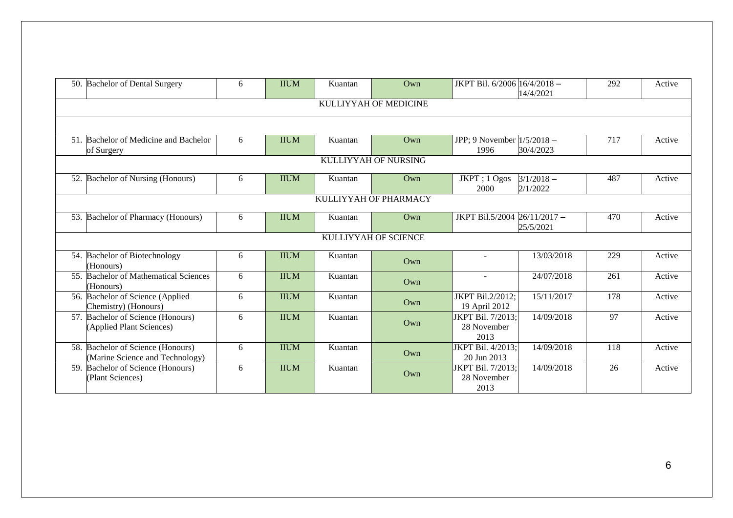|                      | 50. Bachelor of Dental Surgery                                       | 6 | <b>IIUM</b> | Kuantan               | $Qw$ n                | JKPT Bil. 6/2006 16/4/2018 -             | 14/4/2021                | 292             | Active |  |  |  |
|----------------------|----------------------------------------------------------------------|---|-------------|-----------------------|-----------------------|------------------------------------------|--------------------------|-----------------|--------|--|--|--|
|                      | KULLIYYAH OF MEDICINE                                                |   |             |                       |                       |                                          |                          |                 |        |  |  |  |
|                      |                                                                      |   |             |                       |                       |                                          |                          |                 |        |  |  |  |
|                      | 51. Bachelor of Medicine and Bachelor<br>of Surgery                  | 6 | <b>IIUM</b> | Kuantan               | Own                   | JPP; 9 November $1/5/2018$ –<br>1996     | 30/4/2023                | 717             | Active |  |  |  |
| KULLIYYAH OF NURSING |                                                                      |   |             |                       |                       |                                          |                          |                 |        |  |  |  |
|                      | 52. Bachelor of Nursing (Honours)                                    | 6 | <b>IIUM</b> | Kuantan               | $Qw$ n                | JKPT; 1 Ogos<br>2000                     | $3/1/2018 -$<br>2/1/2022 | 487             | Active |  |  |  |
|                      |                                                                      |   |             |                       | KULLIYYAH OF PHARMACY |                                          |                          |                 |        |  |  |  |
|                      | 53. Bachelor of Pharmacy (Honours)                                   | 6 | <b>IIUM</b> | Kuantan               | Own                   | JKPT Bil.5/2004 26/11/2017-              | 25/5/2021                | 470             | Active |  |  |  |
|                      |                                                                      |   |             |                       | KULLIYYAH OF SCIENCE  |                                          |                          |                 |        |  |  |  |
|                      | 54. Bachelor of Biotechnology<br>(Honours)                           | 6 | <b>IIUM</b> | Kuantan               | Own                   | $\sim$                                   | 13/03/2018               | 229             | Active |  |  |  |
|                      | 55. Bachelor of Mathematical Sciences<br>(Honours)                   | 6 | <b>IIUM</b> | Kuantan               | Own                   | $\sim$                                   | 24/07/2018               | 261             | Active |  |  |  |
|                      | 56. Bachelor of Science (Applied<br>Chemistry) (Honours)             | 6 | <b>IIUM</b> | Kuantan               | Own                   | JKPT Bil.2/2012;<br>19 April 2012        | 15/11/2017               | 178             | Active |  |  |  |
|                      | 57. Bachelor of Science (Honours)<br>(Applied Plant Sciences)        | 6 | <b>IIUM</b> | $\overline{K}$ uantan | Own                   | JKPT Bil. 7/2013;<br>28 November<br>2013 | 14/09/2018               | 97              | Active |  |  |  |
|                      | 58. Bachelor of Science (Honours)<br>(Marine Science and Technology) | 6 | <b>IIUM</b> | Kuantan               | Own                   | JKPT Bil. 4/2013;<br>20 Jun 2013         | 14/09/2018               | 118             | Active |  |  |  |
|                      | 59. Bachelor of Science (Honours)<br>(Plant Sciences)                | 6 | <b>IIUM</b> | Kuantan               | Own                   | JKPT Bil. 7/2013;<br>28 November<br>2013 | 14/09/2018               | $\overline{26}$ | Active |  |  |  |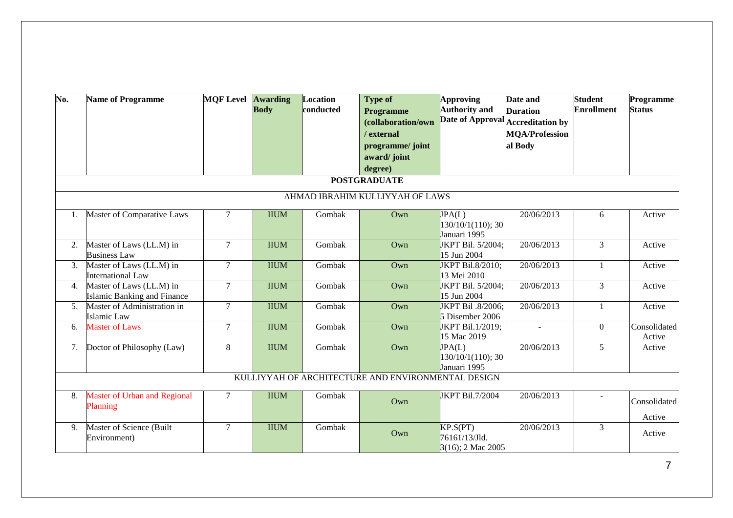| No.              | <b>Name of Programme</b>                                       | <b>MOF Level Awarding</b> | <b>Body</b> | Location<br>conducted | <b>Type of</b><br><b>Programme</b><br>(collaboration/own<br>/ external<br>programme/ joint<br>award/joint<br>degree)<br><b>POSTGRADUATE</b> | Approving<br><b>Authority</b> and<br>Date of Approval Accreditation by | Date and<br><b>Duration</b><br><b>MQA/Profession</b><br>al Body | <b>Student</b><br><b>Enrollment</b> | Programme<br><b>Status</b> |  |  |  |  |
|------------------|----------------------------------------------------------------|---------------------------|-------------|-----------------------|---------------------------------------------------------------------------------------------------------------------------------------------|------------------------------------------------------------------------|-----------------------------------------------------------------|-------------------------------------|----------------------------|--|--|--|--|
|                  | AHMAD IBRAHIM KULLIYYAH OF LAWS                                |                           |             |                       |                                                                                                                                             |                                                                        |                                                                 |                                     |                            |  |  |  |  |
| 1.               | Master of Comparative Laws                                     | $\tau$                    | <b>IIUM</b> | Gombak                | Own                                                                                                                                         | JPA(L)<br>$130/10/1(110)$ ; 30<br>Januari 1995                         | 20/06/2013                                                      | 6                                   | Active                     |  |  |  |  |
| 2.               | Master of Laws (LL.M) in<br><b>Business Law</b>                | $\tau$                    | <b>IIUM</b> | Gombak                | Own                                                                                                                                         | JKPT Bil. 5/2004;<br>15 Jun 2004                                       | 20/06/2013                                                      | $\overline{3}$                      | Active                     |  |  |  |  |
| 3.               | Master of Laws (LL.M) in<br><b>International Law</b>           | $\tau$                    | <b>IIUM</b> | Gombak                | Own                                                                                                                                         | JKPT Bil.8/2010;<br>13 Mei 2010                                        | 20/06/2013                                                      | $\mathbf{1}$                        | Active                     |  |  |  |  |
| $\overline{4}$ . | Master of Laws (LL.M) in<br><b>Islamic Banking and Finance</b> | $\tau$                    | <b>IIUM</b> | Gombak                | Own                                                                                                                                         | JKPT Bil. 5/2004;<br>15 Jun 2004                                       | 20/06/2013                                                      | $\mathfrak{Z}$                      | Active                     |  |  |  |  |
| 5.               | Master of Administration in<br>Islamic Law                     | $\overline{7}$            | <b>IIUM</b> | Gombak                | Own                                                                                                                                         | JKPT Bil .8/2006;<br>5 Disember 2006                                   | 20/06/2013                                                      | $\mathbf{1}$                        | Active                     |  |  |  |  |
| 6.               | <b>Master of Laws</b>                                          | $\tau$                    | <b>IIUM</b> | Gombak                | Own                                                                                                                                         | JKPT Bil.1/2019;<br>15 Mac 2019                                        |                                                                 | $\overline{0}$                      | Consolidated<br>Active     |  |  |  |  |
| 7.               | Doctor of Philosophy (Law)                                     | 8                         | <b>IIUM</b> | Gombak                | Own                                                                                                                                         | $\overline{\text{JPA}}(L)$<br>$130/10/1(110)$ ; 30<br>Januari 1995     | 20/06/2013                                                      | 5                                   | Active                     |  |  |  |  |
|                  |                                                                |                           |             |                       | KULLIYYAH OF ARCHITECTURE AND ENVIRONMENTAL DESIGN                                                                                          |                                                                        |                                                                 |                                     |                            |  |  |  |  |
| 8.               | <b>Master of Urban and Regional</b><br>Planning                | $\tau$                    | <b>IIUM</b> | Gombak                | Own                                                                                                                                         | JKPT Bil.7/2004                                                        | 20/06/2013                                                      |                                     | Consolidated<br>Active     |  |  |  |  |
| 9.               | Master of Science (Built<br>Environment)                       | $\tau$                    | <b>IIUM</b> | Gombak                | Own                                                                                                                                         | KP.S(PT)<br>76161/13/Jld.<br>$3(16)$ ; 2 Mac 2005                      | 20/06/2013                                                      | $\mathfrak{Z}$                      | Active                     |  |  |  |  |

7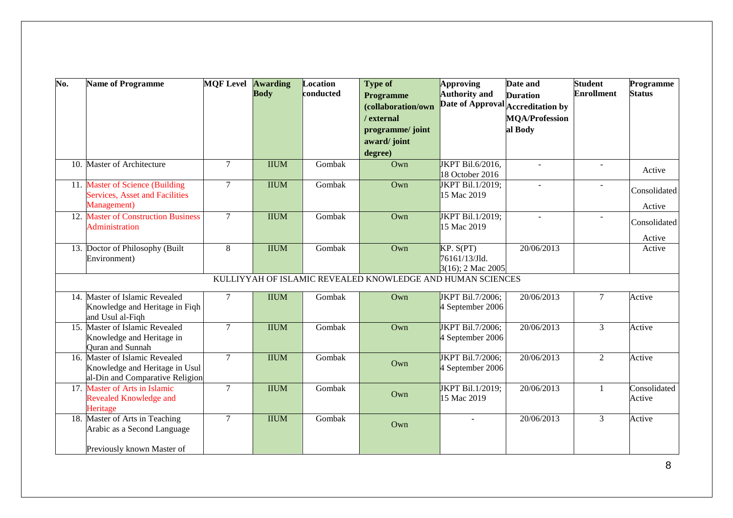| No. | <b>Name of Programme</b>                                                                            | <b>MQF Level Awarding</b> | <b>Body</b> | Location<br>conducted | <b>Type of</b><br><b>Programme</b><br>(collaboration/own<br>/ external<br>programme/ joint<br>award/joint<br>degree) | <b>Approving</b><br><b>Authority and</b>        | Date and<br><b>Duration</b><br>Date of Approval Accreditation by<br><b>MQA/Profession</b><br>al Body | <b>Student</b><br><b>Enrollment</b> | Programme<br><b>Status</b> |
|-----|-----------------------------------------------------------------------------------------------------|---------------------------|-------------|-----------------------|----------------------------------------------------------------------------------------------------------------------|-------------------------------------------------|------------------------------------------------------------------------------------------------------|-------------------------------------|----------------------------|
|     | 10. Master of Architecture                                                                          | $\tau$                    | <b>IIUM</b> | Gombak                | Own                                                                                                                  | JKPT Bil.6/2016,<br>18 October 2016             | $\sim$                                                                                               | $\overline{a}$                      | Active                     |
|     | 11. Master of Science (Building<br><b>Services, Asset and Facilities</b><br>Management)             | $\overline{7}$            | <b>IIUM</b> | Gombak                | Own                                                                                                                  | JKPT Bil.1/2019;<br>15 Mac 2019                 | $\sim$                                                                                               | $\overline{a}$                      | Consolidated<br>Active     |
|     | 12. Master of Construction Business<br><b>Administration</b>                                        | $\overline{7}$            | <b>IIUM</b> | Gombak                | Own                                                                                                                  | JKPT Bil.1/2019;<br>15 Mac 2019                 |                                                                                                      |                                     | Consolidated<br>Active     |
|     | 13. Doctor of Philosophy (Built<br>Environment)                                                     | 8                         | <b>IIUM</b> | Gombak                | Own                                                                                                                  | KP. S(PT)<br>76161/13/Jld.<br>3(16); 2 Mac 2005 | 20/06/2013                                                                                           |                                     | Active                     |
|     |                                                                                                     |                           |             |                       | KULLIYYAH OF ISLAMIC REVEALED KNOWLEDGE AND HUMAN SCIENCES                                                           |                                                 |                                                                                                      |                                     |                            |
|     | 14. Master of Islamic Revealed<br>Knowledge and Heritage in Fiqh<br>and Usul al-Fiqh                | $\tau$                    | <b>IIUM</b> | Gombak                | Own                                                                                                                  | JKPT Bil.7/2006;<br>4 September 2006            | 20/06/2013                                                                                           | $\tau$                              | Active                     |
|     | 15. Master of Islamic Revealed<br>Knowledge and Heritage in<br>Ouran and Sunnah                     | $\tau$                    | <b>IIUM</b> | Gombak                | Own                                                                                                                  | JKPT Bil.7/2006;<br>4 September 2006            | 20/06/2013                                                                                           | $\overline{3}$                      | Active                     |
|     | 16. Master of Islamic Revealed<br>Knowledge and Heritage in Usul<br>al-Din and Comparative Religion | $\overline{7}$            | <b>IIUM</b> | Gombak                | Own                                                                                                                  | JKPT Bil.7/2006;<br>4 September 2006            | 20/06/2013                                                                                           | $\overline{2}$                      | Active                     |
|     | 17. Master of Arts in Islamic<br>Revealed Knowledge and<br>Heritage                                 | $\tau$                    | <b>IIUM</b> | Gombak                | Own                                                                                                                  | JKPT Bil.1/2019;<br>15 Mac 2019                 | 20/06/2013                                                                                           | $\mathbf{1}$                        | Consolidated<br>Active     |
|     | 18. Master of Arts in Teaching<br>Arabic as a Second Language<br>Previously known Master of         | $\tau$                    | <b>IIUM</b> | Gombak                | Own                                                                                                                  | $\mathbf{r}$                                    | 20/06/2013                                                                                           | $\overline{3}$                      | Active                     |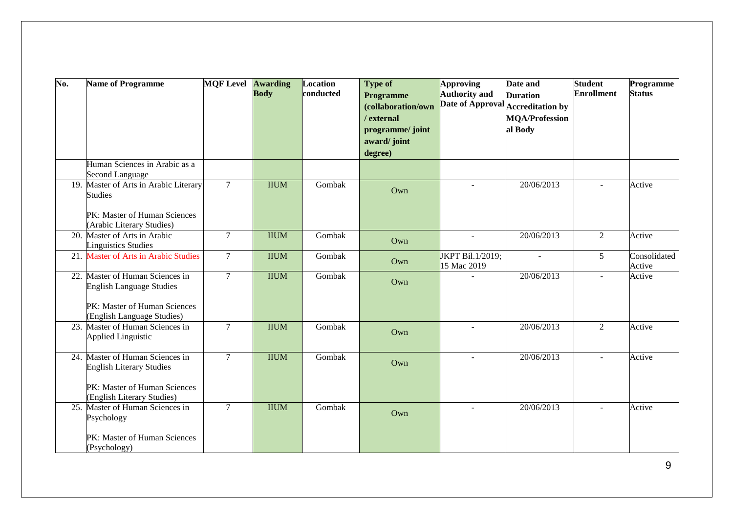| No. | <b>Name of Programme</b>                                           | <b>MQF Level Awarding</b> | <b>Body</b> | Location<br>conducted | <b>Type of</b><br><b>Programme</b> | Approving<br><b>Authority and</b> | Date and<br><b>Duration</b> | <b>Student</b><br><b>Enrollment</b> | Programme<br><b>Status</b> |
|-----|--------------------------------------------------------------------|---------------------------|-------------|-----------------------|------------------------------------|-----------------------------------|-----------------------------|-------------------------------------|----------------------------|
|     |                                                                    |                           |             |                       | (collaboration/own                 | Date of Approval Accreditation by |                             |                                     |                            |
|     |                                                                    |                           |             |                       | / external                         |                                   | <b>MQA/Profession</b>       |                                     |                            |
|     |                                                                    |                           |             |                       | programme/ joint<br>award/joint    |                                   | al Body                     |                                     |                            |
|     |                                                                    |                           |             |                       | degree)                            |                                   |                             |                                     |                            |
|     | Human Sciences in Arabic as a<br><b>Second Language</b>            |                           |             |                       |                                    |                                   |                             |                                     |                            |
|     | 19. Master of Arts in Arabic Literary<br><b>Studies</b>            | $\tau$                    | <b>IIUM</b> | Gombak                | Own                                | $\sim$                            | 20/06/2013                  | ÷.                                  | Active                     |
|     | PK: Master of Human Sciences<br>(Arabic Literary Studies)          |                           |             |                       |                                    |                                   |                             |                                     |                            |
|     | 20. Master of Arts in Arabic<br><b>Linguistics Studies</b>         | $\tau$                    | <b>IIUM</b> | Gombak                | Own                                | $\sim$                            | 20/06/2013                  | $\overline{2}$                      | Active                     |
| 21. | <b>Master of Arts in Arabic Studies</b>                            | $\overline{7}$            | <b>IIUM</b> | Gombak                | Own                                | JKPT Bil.1/2019;<br>15 Mac 2019   | $\sim$                      | 5                                   | Consolidated<br>Active     |
| 22. | Master of Human Sciences in<br><b>English Language Studies</b>     | $\overline{7}$            | <b>IIUM</b> | Gombak                | Own                                |                                   | 20/06/2013                  | $\overline{a}$                      | Active                     |
|     | PK: Master of Human Sciences<br>(English Language Studies)         |                           |             |                       |                                    |                                   |                             |                                     |                            |
|     | 23. Master of Human Sciences in<br><b>Applied Linguistic</b>       | $\tau$                    | <b>IIUM</b> | Gombak                | Own                                | $\overline{a}$                    | 20/06/2013                  | $\overline{2}$                      | Active                     |
|     | 24. Master of Human Sciences in<br><b>English Literary Studies</b> | $\overline{7}$            | <b>IIUM</b> | Gombak                | Own                                |                                   | 20/06/2013                  | $\overline{a}$                      | Active                     |
|     | PK: Master of Human Sciences<br>(English Literary Studies)         |                           |             |                       |                                    |                                   |                             |                                     |                            |
|     | 25. Master of Human Sciences in<br>Psychology                      | $\tau$                    | <b>IIUM</b> | Gombak                | Own                                |                                   | 20/06/2013                  | ÷.                                  | Active                     |
|     | PK: Master of Human Sciences<br>(Psychology)                       |                           |             |                       |                                    |                                   |                             |                                     |                            |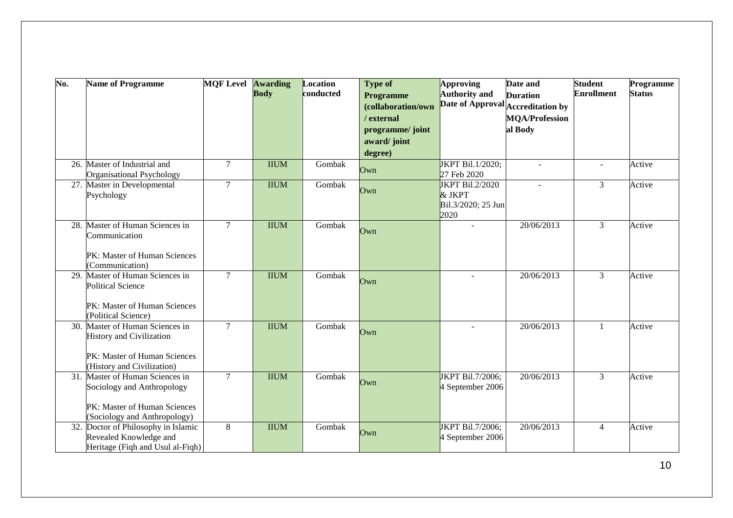| No. | <b>Name of Programme</b>                                                                          | <b>MOF Level</b> | <b>Awarding</b><br><b>Body</b> | Location<br>conducted | <b>Type of</b><br>Programme    | Approving<br><b>Authority</b> and    | Date and<br><b>Duration</b>       | <b>Student</b><br><b>Enrollment</b> | Programme<br><b>Status</b> |
|-----|---------------------------------------------------------------------------------------------------|------------------|--------------------------------|-----------------------|--------------------------------|--------------------------------------|-----------------------------------|-------------------------------------|----------------------------|
|     |                                                                                                   |                  |                                |                       | (collaboration/own             |                                      | Date of Approval Accreditation by |                                     |                            |
|     |                                                                                                   |                  |                                |                       | / external<br>programme/ joint |                                      | <b>MQA/Profession</b><br>al Body  |                                     |                            |
|     |                                                                                                   |                  |                                |                       | award/joint                    |                                      |                                   |                                     |                            |
|     |                                                                                                   |                  |                                |                       | degree)                        |                                      |                                   |                                     |                            |
|     | 26. Master of Industrial and<br>Organisational Psychology                                         | $7\overline{ }$  | <b>IIUM</b>                    | Gombak                | Own                            | JKPT Bil.1/2020;<br>27 Feb 2020      |                                   | ÷.                                  | Active                     |
|     | 27. Master in Developmental<br>Psychology                                                         | $\overline{7}$   | <b>IIUM</b>                    | Gombak                | Own                            | JKPT Bil.2/2020<br>& JKPT            |                                   | $\overline{3}$                      | Active                     |
|     |                                                                                                   |                  |                                |                       |                                | Bil.3/2020; 25 Jun<br>2020           |                                   |                                     |                            |
| 28. | Master of Human Sciences in<br>Communication                                                      | $\overline{7}$   | <b>IIUM</b>                    | Gombak                | Own                            |                                      | 20/06/2013                        | $\overline{3}$                      | Active                     |
|     | PK: Master of Human Sciences<br>(Communication)                                                   |                  |                                |                       |                                |                                      |                                   |                                     |                            |
|     | 29. Master of Human Sciences in<br><b>Political Science</b>                                       | $\overline{7}$   | <b>IIUM</b>                    | Gombak                | Own                            |                                      | 20/06/2013                        | $\overline{3}$                      | Active                     |
|     | PK: Master of Human Sciences<br>(Political Science)                                               |                  |                                |                       |                                |                                      |                                   |                                     |                            |
|     | 30. Master of Human Sciences in<br><b>History and Civilization</b>                                | $\overline{7}$   | <b>IIUM</b>                    | Gombak                | Own                            |                                      | 20/06/2013                        | $\mathbf{1}$                        | Active                     |
|     | PK: Master of Human Sciences<br>(History and Civilization)                                        |                  |                                |                       |                                |                                      |                                   |                                     |                            |
|     | 31. Master of Human Sciences in<br>Sociology and Anthropology                                     | $\overline{7}$   | <b>IIUM</b>                    | Gombak                | Own                            | JKPT Bil.7/2006;<br>4 September 2006 | 20/06/2013                        | $\overline{3}$                      | Active                     |
|     | PK: Master of Human Sciences<br>(Sociology and Anthropology)                                      |                  |                                |                       |                                |                                      |                                   |                                     |                            |
|     | 32. Doctor of Philosophy in Islamic<br>Revealed Knowledge and<br>Heritage (Fiqh and Usul al-Fiqh) | 8                | <b>IIUM</b>                    | Gombak                | Own                            | JKPT Bil.7/2006;<br>4 September 2006 | 20/06/2013                        | $\overline{4}$                      | Active                     |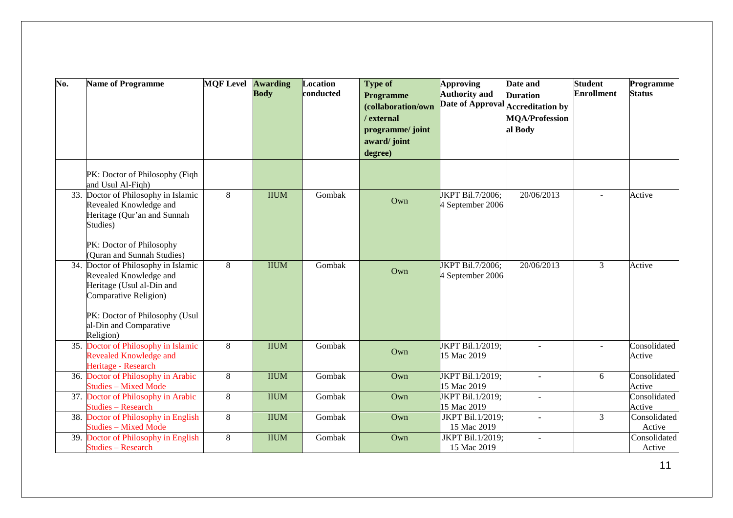| No. | <b>Name of Programme</b>                                          | <b>MOF Level Awarding</b> | <b>Body</b> | Location<br>conducted | <b>Type of</b>                         | Approving<br><b>Authority and</b> | Date and<br><b>Duration</b> | <b>Student</b><br><b>Enrollment</b> | Programme<br><b>Status</b> |
|-----|-------------------------------------------------------------------|---------------------------|-------------|-----------------------|----------------------------------------|-----------------------------------|-----------------------------|-------------------------------------|----------------------------|
|     |                                                                   |                           |             |                       | <b>Programme</b><br>(collaboration/own | Date of Approval Accreditation by |                             |                                     |                            |
|     |                                                                   |                           |             |                       | / external                             |                                   | <b>MQA/Profession</b>       |                                     |                            |
|     |                                                                   |                           |             |                       | programme/joint                        |                                   | al Body                     |                                     |                            |
|     |                                                                   |                           |             |                       | award/joint                            |                                   |                             |                                     |                            |
|     |                                                                   |                           |             |                       | degree)                                |                                   |                             |                                     |                            |
|     |                                                                   |                           |             |                       |                                        |                                   |                             |                                     |                            |
|     | PK: Doctor of Philosophy (Fiqh                                    |                           |             |                       |                                        |                                   |                             |                                     |                            |
|     | and Usul Al-Fiqh)                                                 |                           |             |                       |                                        |                                   |                             |                                     |                            |
|     | 33. Doctor of Philosophy in Islamic                               | 8                         | <b>IIUM</b> | Gombak                | Own                                    | JKPT Bil.7/2006;                  | 20/06/2013                  |                                     | Active                     |
|     | Revealed Knowledge and                                            |                           |             |                       |                                        | 4 September 2006                  |                             |                                     |                            |
|     | Heritage (Qur'an and Sunnah<br>Studies)                           |                           |             |                       |                                        |                                   |                             |                                     |                            |
|     |                                                                   |                           |             |                       |                                        |                                   |                             |                                     |                            |
|     | PK: Doctor of Philosophy                                          |                           |             |                       |                                        |                                   |                             |                                     |                            |
|     | (Quran and Sunnah Studies)                                        |                           |             |                       |                                        |                                   |                             |                                     |                            |
|     | 34. Doctor of Philosophy in Islamic                               | 8                         | <b>IIUM</b> | Gombak                | Own                                    | JKPT Bil.7/2006;                  | 20/06/2013                  | 3                                   | Active                     |
|     | Revealed Knowledge and                                            |                           |             |                       |                                        | 4 September 2006                  |                             |                                     |                            |
|     | Heritage (Usul al-Din and                                         |                           |             |                       |                                        |                                   |                             |                                     |                            |
|     | Comparative Religion)                                             |                           |             |                       |                                        |                                   |                             |                                     |                            |
|     | PK: Doctor of Philosophy (Usul                                    |                           |             |                       |                                        |                                   |                             |                                     |                            |
|     | al-Din and Comparative                                            |                           |             |                       |                                        |                                   |                             |                                     |                            |
|     | Religion)                                                         |                           |             |                       |                                        |                                   |                             |                                     |                            |
|     | 35. Doctor of Philosophy in Islamic                               | 8                         | <b>IIUM</b> | Gombak                | Own                                    | JKPT Bil.1/2019;                  | $\sim$                      | $\overline{a}$                      | Consolidated               |
|     | Revealed Knowledge and                                            |                           |             |                       |                                        | 15 Mac 2019                       |                             |                                     | Active                     |
|     | Heritage - Research                                               |                           |             |                       |                                        |                                   |                             |                                     |                            |
|     | 36. Doctor of Philosophy in Arabic                                | 8                         | <b>IIUM</b> | Gombak                | Own                                    | JKPT Bil.1/2019;                  | $\sim$                      | 6                                   | Consolidated               |
|     | <b>Studies – Mixed Mode</b><br>37. Doctor of Philosophy in Arabic | 8                         | <b>IIUM</b> | Gombak                | Own                                    | 15 Mac 2019<br>JKPT Bil.1/2019;   | $\sim$                      |                                     | Active<br>Consolidated     |
|     | <b>Studies – Research</b>                                         |                           |             |                       |                                        | 15 Mac 2019                       |                             |                                     | Active                     |
|     | 38. Doctor of Philosophy in English                               | 8                         | <b>IIUM</b> | Gombak                | Own                                    | JKPT Bil.1/2019;                  | $\overline{a}$              | $\overline{3}$                      | Consolidated               |
|     | <b>Studies – Mixed Mode</b>                                       |                           |             |                       |                                        | 15 Mac 2019                       |                             |                                     | Active                     |
|     | 39. Doctor of Philosophy in English                               | 8                         | <b>IIUM</b> | Gombak                | Own                                    | JKPT Bil.1/2019;                  | $\sim$                      |                                     | Consolidated               |
|     | <b>Studies - Research</b>                                         |                           |             |                       |                                        | 15 Mac 2019                       |                             |                                     | Active                     |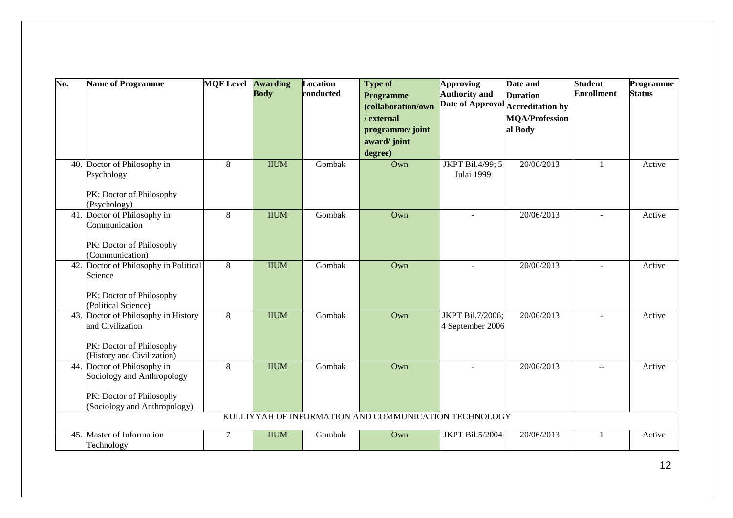| $\overline{\text{No}}$ . | <b>Name of Programme</b>                                                                                              | <b>MOF Level Awarding</b> | <b>Body</b> | Location<br>conducted | <b>Type of</b><br><b>Programme</b><br>(collaboration/own<br>/ external<br>programme/ joint<br>award/joint | <b>Approving</b><br><b>Authority and</b> | Date and<br><b>Duration</b><br>Date of Approval Accreditation by<br><b>MQA/Profession</b><br>al Body | <b>Student</b><br><b>Enrollment</b> | Programme<br><b>Status</b> |
|--------------------------|-----------------------------------------------------------------------------------------------------------------------|---------------------------|-------------|-----------------------|-----------------------------------------------------------------------------------------------------------|------------------------------------------|------------------------------------------------------------------------------------------------------|-------------------------------------|----------------------------|
|                          | 40. Doctor of Philosophy in                                                                                           | 8                         | <b>IIUM</b> | Gombak                | degree)<br>Own                                                                                            | JKPT Bil.4/99; 5                         | 20/06/2013                                                                                           | $\mathbf{1}$                        | Active                     |
|                          | Psychology<br>PK: Doctor of Philosophy<br>(Psychology)                                                                |                           |             |                       |                                                                                                           | Julai 1999                               |                                                                                                      |                                     |                            |
|                          | 41. Doctor of Philosophy in<br>Communication<br>PK: Doctor of Philosophy<br>(Communication)                           | 8                         | <b>IIUM</b> | Gombak                | $Qw$ n                                                                                                    | $\sim$                                   | 20/06/2013                                                                                           | $\sim$                              | Active                     |
|                          | 42. Doctor of Philosophy in Political<br>Science<br>PK: Doctor of Philosophy<br>(Political Science)                   | 8                         | <b>IIUM</b> | Gombak                | Own                                                                                                       | $\sim$                                   | 20/06/2013                                                                                           | $\overline{\phantom{a}}$            | Active                     |
|                          | 43. Doctor of Philosophy in History<br>and Civilization<br>PK: Doctor of Philosophy<br>(History and Civilization)     | 8                         | <b>IIUM</b> | Gombak                | $Qw$ n                                                                                                    | JKPT Bil.7/2006;<br>4 September 2006     | 20/06/2013                                                                                           | $\overline{a}$                      | Active                     |
|                          | 44. Doctor of Philosophy in<br>Sociology and Anthropology<br>PK: Doctor of Philosophy<br>(Sociology and Anthropology) | 8                         | <b>IIUM</b> | Gombak                | $Qw$ n<br>KULLIYYAH OF INFORMATION AND COMMUNICATION TECHNOLOGY                                           |                                          | 20/06/2013                                                                                           | $\mathbb{L} \mathbb{L}$             | Active                     |
|                          | 45. Master of Information<br>Technology                                                                               | $\tau$                    | <b>IIUM</b> | Gombak                | Own                                                                                                       | JKPT Bil.5/2004                          | 20/06/2013                                                                                           | $\mathbf{1}$                        | Active                     |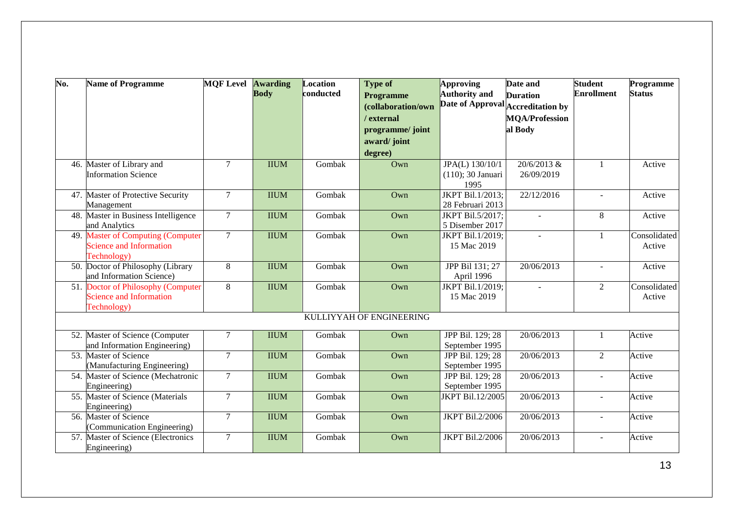| Date of Approval Accreditation by<br>(collaboration/own<br>/ external<br><b>MQA/Profession</b><br>al Body<br>programme/ joint<br>award/joint<br>degree)<br>JPA(L) 130/10/1<br>46. Master of Library and<br>$\tau$<br>20/6/2013 &<br><b>IIUM</b><br>Gombak<br>Own<br>$\mathbf{1}$<br><b>Information Science</b><br>(110); 30 Januari<br>26/09/2019<br>1995<br>JKPT Bil.1/2013;<br>47. Master of Protective Security<br>$\tau$<br>Gombak<br>22/12/2016<br><b>IIUM</b><br>Own<br>Active<br>$\mathbf{r}$<br>28 Februari 2013<br>Management<br>$\overline{7}$<br>48. Master in Business Intelligence<br><b>IIUM</b><br>JKPT Bil.5/2017;<br>8<br>Gombak<br>Own<br>Active<br>$\sim$<br>and Analytics<br>5 Disember 2017<br><b>Master of Computing (Computer</b><br>$\overline{7}$<br><b>IIUM</b><br>Gombak<br>JKPT Bil.1/2019;<br>49.<br>Own<br>1<br><b>Science and Information</b><br>15 Mac 2019<br>Technology)<br>50. Doctor of Philosophy (Library<br>8<br><b>IIUM</b><br>Gombak<br>JPP Bil 131; 27<br>20/06/2013<br>Own<br>$\overline{a}$<br>and Information Science)<br>April 1996<br>51. Doctor of Philosophy (Computer<br>8<br>JKPT Bil.1/2019;<br>2<br><b>IIUM</b><br>Gombak<br>Own<br><b>Science and Information</b><br>15 Mac 2019<br>Active<br>Technology) | $\overline{\text{No}}$ . | <b>Name of Programme</b> | <b>MOF Level</b> | <b>Awarding</b><br><b>Body</b> | Location<br>conducted | <b>Type of</b><br><b>Programme</b> | <b>Approving</b><br><b>Authority and</b> | Date and<br><b>Duration</b> | <b>Student</b><br><b>Enrollment</b> | Programme<br><b>Status</b> |
|-----------------------------------------------------------------------------------------------------------------------------------------------------------------------------------------------------------------------------------------------------------------------------------------------------------------------------------------------------------------------------------------------------------------------------------------------------------------------------------------------------------------------------------------------------------------------------------------------------------------------------------------------------------------------------------------------------------------------------------------------------------------------------------------------------------------------------------------------------------------------------------------------------------------------------------------------------------------------------------------------------------------------------------------------------------------------------------------------------------------------------------------------------------------------------------------------------------------------------------------------------------------|--------------------------|--------------------------|------------------|--------------------------------|-----------------------|------------------------------------|------------------------------------------|-----------------------------|-------------------------------------|----------------------------|
|                                                                                                                                                                                                                                                                                                                                                                                                                                                                                                                                                                                                                                                                                                                                                                                                                                                                                                                                                                                                                                                                                                                                                                                                                                                                 |                          |                          |                  |                                |                       |                                    |                                          |                             |                                     |                            |
|                                                                                                                                                                                                                                                                                                                                                                                                                                                                                                                                                                                                                                                                                                                                                                                                                                                                                                                                                                                                                                                                                                                                                                                                                                                                 |                          |                          |                  |                                |                       |                                    |                                          |                             |                                     |                            |
|                                                                                                                                                                                                                                                                                                                                                                                                                                                                                                                                                                                                                                                                                                                                                                                                                                                                                                                                                                                                                                                                                                                                                                                                                                                                 |                          |                          |                  |                                |                       |                                    |                                          |                             |                                     |                            |
|                                                                                                                                                                                                                                                                                                                                                                                                                                                                                                                                                                                                                                                                                                                                                                                                                                                                                                                                                                                                                                                                                                                                                                                                                                                                 |                          |                          |                  |                                |                       |                                    |                                          |                             |                                     |                            |
|                                                                                                                                                                                                                                                                                                                                                                                                                                                                                                                                                                                                                                                                                                                                                                                                                                                                                                                                                                                                                                                                                                                                                                                                                                                                 |                          |                          |                  |                                |                       |                                    |                                          |                             |                                     |                            |
|                                                                                                                                                                                                                                                                                                                                                                                                                                                                                                                                                                                                                                                                                                                                                                                                                                                                                                                                                                                                                                                                                                                                                                                                                                                                 |                          |                          |                  |                                |                       |                                    |                                          |                             |                                     | Active                     |
|                                                                                                                                                                                                                                                                                                                                                                                                                                                                                                                                                                                                                                                                                                                                                                                                                                                                                                                                                                                                                                                                                                                                                                                                                                                                 |                          |                          |                  |                                |                       |                                    |                                          |                             |                                     |                            |
|                                                                                                                                                                                                                                                                                                                                                                                                                                                                                                                                                                                                                                                                                                                                                                                                                                                                                                                                                                                                                                                                                                                                                                                                                                                                 |                          |                          |                  |                                |                       |                                    |                                          |                             |                                     |                            |
|                                                                                                                                                                                                                                                                                                                                                                                                                                                                                                                                                                                                                                                                                                                                                                                                                                                                                                                                                                                                                                                                                                                                                                                                                                                                 |                          |                          |                  |                                |                       |                                    |                                          |                             |                                     |                            |
|                                                                                                                                                                                                                                                                                                                                                                                                                                                                                                                                                                                                                                                                                                                                                                                                                                                                                                                                                                                                                                                                                                                                                                                                                                                                 |                          |                          |                  |                                |                       |                                    |                                          |                             |                                     |                            |
|                                                                                                                                                                                                                                                                                                                                                                                                                                                                                                                                                                                                                                                                                                                                                                                                                                                                                                                                                                                                                                                                                                                                                                                                                                                                 |                          |                          |                  |                                |                       |                                    |                                          |                             |                                     |                            |
|                                                                                                                                                                                                                                                                                                                                                                                                                                                                                                                                                                                                                                                                                                                                                                                                                                                                                                                                                                                                                                                                                                                                                                                                                                                                 |                          |                          |                  |                                |                       |                                    |                                          |                             |                                     | Consolidated               |
|                                                                                                                                                                                                                                                                                                                                                                                                                                                                                                                                                                                                                                                                                                                                                                                                                                                                                                                                                                                                                                                                                                                                                                                                                                                                 |                          |                          |                  |                                |                       |                                    |                                          |                             |                                     | Active                     |
|                                                                                                                                                                                                                                                                                                                                                                                                                                                                                                                                                                                                                                                                                                                                                                                                                                                                                                                                                                                                                                                                                                                                                                                                                                                                 |                          |                          |                  |                                |                       |                                    |                                          |                             |                                     |                            |
|                                                                                                                                                                                                                                                                                                                                                                                                                                                                                                                                                                                                                                                                                                                                                                                                                                                                                                                                                                                                                                                                                                                                                                                                                                                                 |                          |                          |                  |                                |                       |                                    |                                          |                             |                                     | Active                     |
|                                                                                                                                                                                                                                                                                                                                                                                                                                                                                                                                                                                                                                                                                                                                                                                                                                                                                                                                                                                                                                                                                                                                                                                                                                                                 |                          |                          |                  |                                |                       |                                    |                                          |                             |                                     |                            |
|                                                                                                                                                                                                                                                                                                                                                                                                                                                                                                                                                                                                                                                                                                                                                                                                                                                                                                                                                                                                                                                                                                                                                                                                                                                                 |                          |                          |                  |                                |                       |                                    |                                          |                             |                                     | Consolidated               |
|                                                                                                                                                                                                                                                                                                                                                                                                                                                                                                                                                                                                                                                                                                                                                                                                                                                                                                                                                                                                                                                                                                                                                                                                                                                                 |                          |                          |                  |                                |                       |                                    |                                          |                             |                                     |                            |
| KULLIYYAH OF ENGINEERING                                                                                                                                                                                                                                                                                                                                                                                                                                                                                                                                                                                                                                                                                                                                                                                                                                                                                                                                                                                                                                                                                                                                                                                                                                        |                          |                          |                  |                                |                       |                                    |                                          |                             |                                     |                            |
|                                                                                                                                                                                                                                                                                                                                                                                                                                                                                                                                                                                                                                                                                                                                                                                                                                                                                                                                                                                                                                                                                                                                                                                                                                                                 |                          |                          |                  |                                |                       |                                    |                                          |                             |                                     |                            |
| JPP Bil. 129; 28<br>52. Master of Science (Computer<br>$\overline{7}$<br><b>IIUM</b><br>20/06/2013<br>Active<br>Gombak<br>$Qw$ n<br>1                                                                                                                                                                                                                                                                                                                                                                                                                                                                                                                                                                                                                                                                                                                                                                                                                                                                                                                                                                                                                                                                                                                           |                          |                          |                  |                                |                       |                                    |                                          |                             |                                     |                            |
| and Information Engineering)<br>September 1995                                                                                                                                                                                                                                                                                                                                                                                                                                                                                                                                                                                                                                                                                                                                                                                                                                                                                                                                                                                                                                                                                                                                                                                                                  |                          |                          |                  |                                |                       |                                    |                                          |                             |                                     |                            |
| 53. Master of Science<br>$\tau$<br>20/06/2013<br>2<br><b>IIUM</b><br>Gombak<br>Own<br>JPP Bil. 129; 28<br>Active                                                                                                                                                                                                                                                                                                                                                                                                                                                                                                                                                                                                                                                                                                                                                                                                                                                                                                                                                                                                                                                                                                                                                |                          |                          |                  |                                |                       |                                    |                                          |                             |                                     |                            |
| (Manufacturing Engineering)<br>September 1995                                                                                                                                                                                                                                                                                                                                                                                                                                                                                                                                                                                                                                                                                                                                                                                                                                                                                                                                                                                                                                                                                                                                                                                                                   |                          |                          |                  |                                |                       |                                    |                                          |                             |                                     |                            |
| $\overline{7}$<br><b>IIUM</b><br>Gombak<br>20/06/2013<br>54.<br>Master of Science (Mechatronic<br>Own<br>JPP Bil. 129; 28<br>Active<br>$\blacksquare$                                                                                                                                                                                                                                                                                                                                                                                                                                                                                                                                                                                                                                                                                                                                                                                                                                                                                                                                                                                                                                                                                                           |                          |                          |                  |                                |                       |                                    |                                          |                             |                                     |                            |
| September 1995<br>Engineering)                                                                                                                                                                                                                                                                                                                                                                                                                                                                                                                                                                                                                                                                                                                                                                                                                                                                                                                                                                                                                                                                                                                                                                                                                                  |                          |                          |                  |                                |                       |                                    |                                          |                             |                                     |                            |
| 55. Master of Science (Materials<br>$\overline{7}$<br><b>IIUM</b><br>Gombak<br>20/06/2013<br>Own<br>JKPT Bil.12/2005<br>Active<br>÷,                                                                                                                                                                                                                                                                                                                                                                                                                                                                                                                                                                                                                                                                                                                                                                                                                                                                                                                                                                                                                                                                                                                            |                          |                          |                  |                                |                       |                                    |                                          |                             |                                     |                            |
| Engineering)                                                                                                                                                                                                                                                                                                                                                                                                                                                                                                                                                                                                                                                                                                                                                                                                                                                                                                                                                                                                                                                                                                                                                                                                                                                    |                          |                          |                  |                                |                       |                                    |                                          |                             |                                     |                            |
| 56. Master of Science<br>$\overline{7}$<br><b>IIUM</b><br>JKPT Bil.2/2006<br>20/06/2013<br>Gombak<br>Own<br>Active<br>$\overline{a}$<br>(Communication Engineering)                                                                                                                                                                                                                                                                                                                                                                                                                                                                                                                                                                                                                                                                                                                                                                                                                                                                                                                                                                                                                                                                                             |                          |                          |                  |                                |                       |                                    |                                          |                             |                                     |                            |
| 57. Master of Science (Electronics<br>$\overline{7}$<br><b>IIUM</b><br>Gombak<br><b>JKPT Bil.2/2006</b><br>20/06/2013<br>Own<br>Active<br>÷,                                                                                                                                                                                                                                                                                                                                                                                                                                                                                                                                                                                                                                                                                                                                                                                                                                                                                                                                                                                                                                                                                                                    |                          |                          |                  |                                |                       |                                    |                                          |                             |                                     |                            |
| Engineering)                                                                                                                                                                                                                                                                                                                                                                                                                                                                                                                                                                                                                                                                                                                                                                                                                                                                                                                                                                                                                                                                                                                                                                                                                                                    |                          |                          |                  |                                |                       |                                    |                                          |                             |                                     |                            |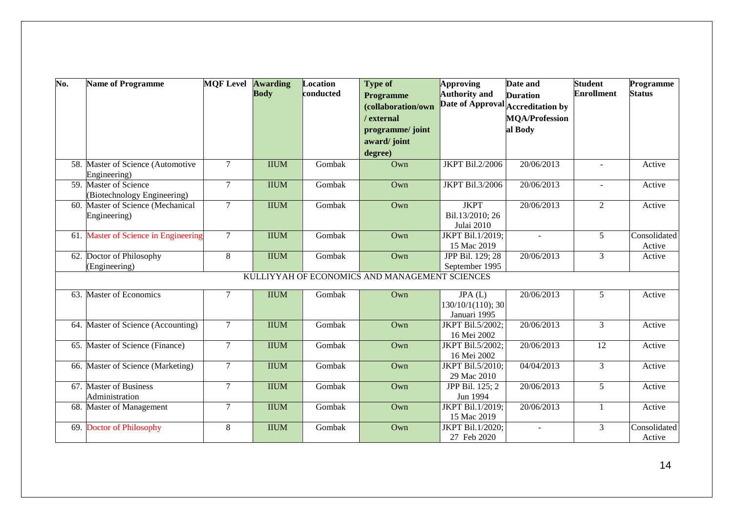| $\overline{\text{No}}$ . | <b>Name of Programme</b>                                         | <b>MOF Level Awarding</b> | <b>Body</b> | Location<br>conducted | <b>Type of</b>                                 | <b>Approving</b><br><b>Authority and</b> | Date and                                             | <b>Student</b><br><b>Enrollment</b> | Programme<br><b>Status</b> |
|--------------------------|------------------------------------------------------------------|---------------------------|-------------|-----------------------|------------------------------------------------|------------------------------------------|------------------------------------------------------|-------------------------------------|----------------------------|
|                          |                                                                  |                           |             |                       | <b>Programme</b>                               |                                          | <b>Duration</b><br>Date of Approval Accreditation by |                                     |                            |
|                          |                                                                  |                           |             |                       | (collaboration/own                             |                                          |                                                      |                                     |                            |
|                          |                                                                  |                           |             |                       | / external                                     |                                          | <b>MQA/Profession</b>                                |                                     |                            |
|                          |                                                                  |                           |             |                       | programme/ joint                               |                                          | al Body                                              |                                     |                            |
|                          |                                                                  |                           |             |                       | award/joint                                    |                                          |                                                      |                                     |                            |
|                          |                                                                  |                           |             |                       | degree)                                        |                                          |                                                      |                                     |                            |
|                          | 58. Master of Science (Automotive                                | $\overline{7}$            | <b>IIUM</b> | Gombak                | Own                                            | <b>JKPT Bil.2/2006</b>                   | 20/06/2013                                           |                                     | Active                     |
|                          | Engineering)                                                     |                           |             |                       |                                                |                                          |                                                      |                                     |                            |
| 59.                      | Master of Science                                                | $\overline{7}$            | <b>IIUM</b> | Gombak                | Own                                            | JKPT Bil.3/2006                          | 20/06/2013                                           | $\blacksquare$                      | Active                     |
|                          | (Biotechnology Engineering)<br>60. Master of Science (Mechanical | $\overline{7}$            | <b>IIUM</b> | Gombak                | Own                                            | <b>JKPT</b>                              | 20/06/2013                                           | $\overline{2}$                      | Active                     |
|                          | Engineering)                                                     |                           |             |                       |                                                | Bil.13/2010; 26                          |                                                      |                                     |                            |
|                          |                                                                  |                           |             |                       |                                                | Julai 2010                               |                                                      |                                     |                            |
|                          | 61. Master of Science in Engineering                             | $\overline{7}$            | <b>IIUM</b> | Gombak                | Own                                            | JKPT Bil.1/2019;                         |                                                      | $\overline{5}$                      | Consolidated               |
|                          |                                                                  |                           |             |                       |                                                | 15 Mac 2019                              |                                                      |                                     | Active                     |
|                          | 62. Doctor of Philosophy                                         | 8                         | <b>IIUM</b> | Gombak                | Own                                            | JPP Bil. 129; 28                         | 20/06/2013                                           | 3                                   | Active                     |
|                          | (Engineering)                                                    |                           |             |                       |                                                | September 1995                           |                                                      |                                     |                            |
|                          |                                                                  |                           |             |                       | KULLIYYAH OF ECONOMICS AND MANAGEMENT SCIENCES |                                          |                                                      |                                     |                            |
|                          |                                                                  |                           |             |                       |                                                |                                          |                                                      |                                     |                            |
|                          | 63. Master of Economics                                          | $\overline{7}$            | <b>IIUM</b> | Gombak                | Own                                            | JPA(L)<br>130/10/1(110); 30              | 20/06/2013                                           | 5                                   | Active                     |
|                          |                                                                  |                           |             |                       |                                                | Januari 1995                             |                                                      |                                     |                            |
|                          | 64. Master of Science (Accounting)                               | $\overline{7}$            | <b>IIUM</b> | Gombak                | Own                                            | JKPT Bil.5/2002;                         | 20/06/2013                                           | $\overline{3}$                      | Active                     |
|                          |                                                                  |                           |             |                       |                                                | 16 Mei 2002                              |                                                      |                                     |                            |
| 65.                      | Master of Science (Finance)                                      | $\tau$                    | <b>IIUM</b> | Gombak                | Own                                            | JKPT Bil.5/2002;                         | 20/06/2013                                           | 12                                  | Active                     |
|                          |                                                                  |                           |             |                       |                                                | 16 Mei 2002                              |                                                      |                                     |                            |
| 66.                      | Master of Science (Marketing)                                    | $\tau$                    | <b>IIUM</b> | Gombak                | Own                                            | JKPT Bil.5/2010;                         | 04/04/2013                                           | 3                                   | Active                     |
|                          |                                                                  |                           |             |                       |                                                | 29 Mac 2010                              |                                                      |                                     |                            |
|                          | 67. Master of Business                                           | $\tau$                    | <b>IIUM</b> | Gombak                | Own                                            | JPP Bil. 125; 2                          | 20/06/2013                                           | 5 <sup>5</sup>                      | Active                     |
|                          | Administration                                                   |                           |             |                       |                                                | Jun 1994                                 |                                                      |                                     |                            |
|                          | 68. Master of Management                                         | $\overline{7}$            | <b>IIUM</b> | Gombak                | Own                                            | JKPT Bil.1/2019;                         | 20/06/2013                                           | $\mathbf{1}$                        | Active                     |
|                          |                                                                  |                           |             |                       |                                                | 15 Mac 2019                              |                                                      |                                     |                            |
|                          | 69. Doctor of Philosophy                                         | 8                         | <b>IIUM</b> | Gombak                | Own                                            | JKPT Bil.1/2020;                         |                                                      | 3                                   | Consolidated               |
|                          |                                                                  |                           |             |                       |                                                | 27 Feb 2020                              |                                                      |                                     | Active                     |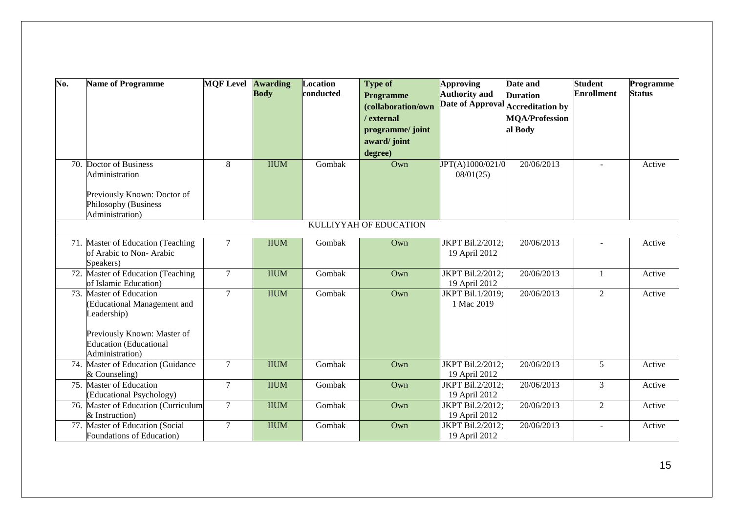| No. | <b>Name of Programme</b>            | <b>MQF Level Awarding</b> | <b>Body</b> | Location<br>conducted | <b>Type of</b>                         | <b>Approving</b><br><b>Authority and</b> | Date and<br><b>Duration</b> | <b>Student</b><br><b>Enrollment</b> | Programme<br><b>Status</b> |
|-----|-------------------------------------|---------------------------|-------------|-----------------------|----------------------------------------|------------------------------------------|-----------------------------|-------------------------------------|----------------------------|
|     |                                     |                           |             |                       | <b>Programme</b><br>(collaboration/own | Date of Approval Accreditation by        |                             |                                     |                            |
|     |                                     |                           |             |                       | / external                             |                                          | <b>MQA/Profession</b>       |                                     |                            |
|     |                                     |                           |             |                       |                                        |                                          |                             |                                     |                            |
|     |                                     |                           |             |                       | programme/ joint                       |                                          | al Body                     |                                     |                            |
|     |                                     |                           |             |                       | award/joint                            |                                          |                             |                                     |                            |
|     |                                     |                           |             |                       | degree)                                |                                          |                             |                                     |                            |
|     | 70. Doctor of Business              | 8                         | <b>IIUM</b> | Gombak                | $Qw$ n                                 | JPT(A)1000/021/0                         | 20/06/2013                  |                                     | Active                     |
|     | Administration                      |                           |             |                       |                                        | 08/01(25)                                |                             |                                     |                            |
|     | Previously Known: Doctor of         |                           |             |                       |                                        |                                          |                             |                                     |                            |
|     | Philosophy (Business                |                           |             |                       |                                        |                                          |                             |                                     |                            |
|     | Administration)                     |                           |             |                       |                                        |                                          |                             |                                     |                            |
|     |                                     |                           |             |                       | KULLIYYAH OF EDUCATION                 |                                          |                             |                                     |                            |
|     |                                     |                           |             |                       |                                        |                                          |                             |                                     |                            |
|     | 71. Master of Education (Teaching   | $\overline{7}$            | <b>IIUM</b> | Gombak                | Own                                    | JKPT Bil.2/2012;                         | 20/06/2013                  |                                     | Active                     |
|     | of Arabic to Non-Arabic             |                           |             |                       |                                        | 19 April 2012                            |                             |                                     |                            |
|     | Speakers)                           |                           |             |                       |                                        |                                          |                             |                                     |                            |
|     | 72. Master of Education (Teaching   | $\tau$                    | <b>IIUM</b> | Gombak                | Own                                    | JKPT Bil.2/2012;                         | 20/06/2013                  | 1                                   | Active                     |
|     | of Islamic Education)               |                           |             |                       |                                        | 19 April 2012                            |                             |                                     |                            |
|     | 73. Master of Education             | $\overline{7}$            | <b>IIUM</b> | Gombak                | Own                                    | JKPT Bil.1/2019;                         | 20/06/2013                  | $\mathfrak{2}$                      | Active                     |
|     | (Educational Management and         |                           |             |                       |                                        | 1 Mac 2019                               |                             |                                     |                            |
|     | Leadership)                         |                           |             |                       |                                        |                                          |                             |                                     |                            |
|     | Previously Known: Master of         |                           |             |                       |                                        |                                          |                             |                                     |                            |
|     | <b>Education</b> (Educational       |                           |             |                       |                                        |                                          |                             |                                     |                            |
|     | Administration)                     |                           |             |                       |                                        |                                          |                             |                                     |                            |
|     | 74. Master of Education (Guidance   | $\overline{7}$            | <b>IIUM</b> | Gombak                | Own                                    | JKPT Bil.2/2012;                         | 20/06/2013                  | 5                                   | Active                     |
|     | & Counseling)                       |                           |             |                       |                                        | 19 April 2012                            |                             |                                     |                            |
|     | 75. Master of Education             | $\tau$                    | <b>IIUM</b> | Gombak                | Own                                    | JKPT Bil.2/2012;                         | 20/06/2013                  | $\overline{3}$                      | Active                     |
|     | (Educational Psychology)            |                           |             |                       |                                        | 19 April 2012                            |                             |                                     |                            |
|     | 76. Master of Education (Curriculum | $\overline{7}$            | <b>IIUM</b> | Gombak                | Own                                    | JKPT Bil.2/2012;                         | 20/06/2013                  | 2                                   | Active                     |
|     | & Instruction)                      |                           |             |                       |                                        | 19 April 2012                            |                             |                                     |                            |
|     | 77. Master of Education (Social     | $\overline{7}$            | <b>IIUM</b> | Gombak                | Own                                    | JKPT Bil.2/2012;                         | 20/06/2013                  | $\overline{a}$                      | Active                     |
|     | Foundations of Education)           |                           |             |                       |                                        | 19 April 2012                            |                             |                                     |                            |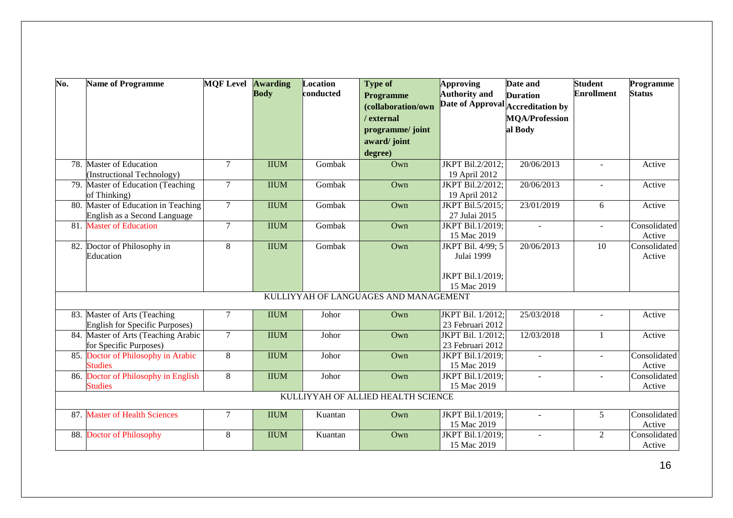| $\overline{\text{No}}$ . | <b>Name of Programme</b>                                            | <b>MOF Level Awarding</b> | <b>Body</b> | Location<br>conducted | <b>Type of</b><br><b>Programme</b><br>(collaboration/own | <b>Approving</b><br><b>Authority and</b><br>Date of Approval Accreditation by | Date and<br><b>Duration</b>      | <b>Student</b><br><b>Enrollment</b> | Programme<br><b>Status</b> |
|--------------------------|---------------------------------------------------------------------|---------------------------|-------------|-----------------------|----------------------------------------------------------|-------------------------------------------------------------------------------|----------------------------------|-------------------------------------|----------------------------|
|                          |                                                                     |                           |             |                       | / external<br>programme/ joint<br>award/joint            |                                                                               | <b>MQA/Profession</b><br>al Body |                                     |                            |
|                          |                                                                     |                           |             |                       | degree)                                                  |                                                                               |                                  |                                     |                            |
|                          | 78. Master of Education<br>(Instructional Technology)               | $\overline{7}$            | <b>IIUM</b> | Gombak                | Own                                                      | JKPT Bil.2/2012;<br>19 April 2012                                             | 20/06/2013                       |                                     | Active                     |
|                          | 79. Master of Education (Teaching<br>of Thinking)                   | $\overline{7}$            | <b>IIUM</b> | Gombak                | Own                                                      | JKPT Bil.2/2012;<br>19 April 2012                                             | 20/06/2013                       |                                     | Active                     |
|                          | 80. Master of Education in Teaching<br>English as a Second Language | $\overline{7}$            | <b>IIUM</b> | Gombak                | Own                                                      | JKPT Bil.5/2015;<br>27 Julai 2015                                             | 23/01/2019                       | 6                                   | Active                     |
|                          | 81. Master of Education                                             | $\overline{7}$            | <b>IIUM</b> | Gombak                | Own                                                      | JKPT Bil.1/2019;<br>15 Mac 2019                                               |                                  | L.                                  | Consolidated<br>Active     |
|                          | 82. Doctor of Philosophy in<br>Education                            | 8                         | <b>IIUM</b> | Gombak                | Own                                                      | JKPT Bil. 4/99; 5<br>Julai 1999                                               | 20/06/2013                       | $\overline{10}$                     | Consolidated<br>Active     |
|                          |                                                                     |                           |             |                       |                                                          | JKPT Bil.1/2019;<br>15 Mac 2019                                               |                                  |                                     |                            |
|                          |                                                                     |                           |             |                       | KULLIYYAH OF LANGUAGES AND MANAGEMENT                    |                                                                               |                                  |                                     |                            |
|                          | 83. Master of Arts (Teaching<br>English for Specific Purposes)      | $\overline{7}$            | <b>IIUM</b> | Johor                 | Own                                                      | JKPT Bil. 1/2012;<br>23 Februari 2012                                         | 25/03/2018                       | ÷.                                  | Active                     |
|                          | 84. Master of Arts (Teaching Arabic<br>for Specific Purposes)       | $\overline{7}$            | <b>IIUM</b> | Johor                 | Own                                                      | JKPT Bil. 1/2012;<br>23 Februari 2012                                         | 12/03/2018                       | $\mathbf{1}$                        | Active                     |
|                          | 85. Doctor of Philosophy in Arabic<br><b>Studies</b>                | 8                         | <b>IIUM</b> | Johor                 | Own                                                      | JKPT Bil.1/2019;<br>15 Mac 2019                                               |                                  | $\mathbf{r}$                        | Consolidated<br>Active     |
|                          | 86. Doctor of Philosophy in English<br><b>Studies</b>               | 8                         | <b>IIUM</b> | Johor                 | Own                                                      | JKPT Bil.1/2019;<br>15 Mac 2019                                               |                                  | ÷.                                  | Consolidated<br>Active     |
|                          |                                                                     |                           |             |                       | KULLIYYAH OF ALLIED HEALTH SCIENCE                       |                                                                               |                                  |                                     |                            |
|                          | 87. Master of Health Sciences                                       | $\overline{7}$            | <b>IIUM</b> | Kuantan               | Own                                                      | JKPT Bil.1/2019;<br>15 Mac 2019                                               | $\sim$                           | 5                                   | Consolidated<br>Active     |
|                          | 88. Doctor of Philosophy                                            | 8                         | <b>IIUM</b> | Kuantan               | Own                                                      | JKPT Bil.1/2019;<br>15 Mac 2019                                               | $\sim$                           | $\overline{2}$                      | Consolidated<br>Active     |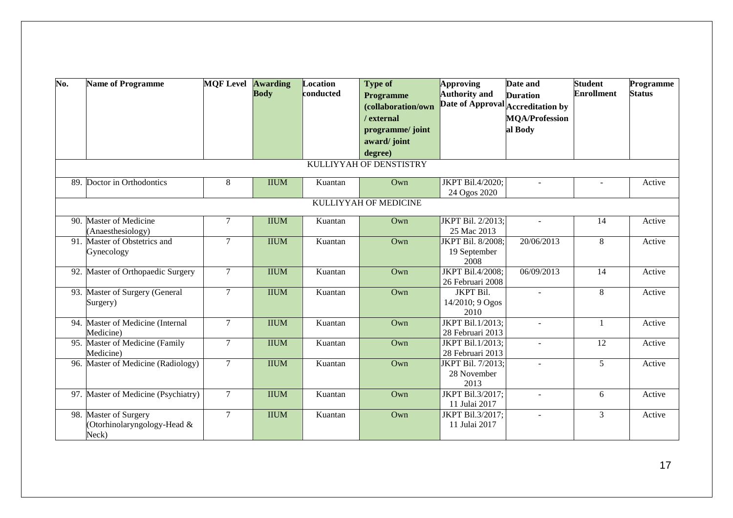| No. | <b>Name of Programme</b>                                      | <b>MOF Level Awarding</b> | <b>Body</b> | <b>Location</b><br>conducted | <b>Type of</b><br><b>Programme</b><br>(collaboration/own<br>/ external<br>programme/ joint<br>award/joint | <b>Approving</b><br><b>Authority and</b><br>Date of Approval Accreditation by | Date and<br><b>Duration</b><br><b>MQA/Profession</b><br>al Body | <b>Student</b><br><b>Enrollment</b> | Programme<br><b>Status</b> |
|-----|---------------------------------------------------------------|---------------------------|-------------|------------------------------|-----------------------------------------------------------------------------------------------------------|-------------------------------------------------------------------------------|-----------------------------------------------------------------|-------------------------------------|----------------------------|
|     |                                                               |                           |             |                              | degree)<br>KULLIYYAH OF DENSTISTRY                                                                        |                                                                               |                                                                 |                                     |                            |
|     |                                                               |                           |             |                              |                                                                                                           |                                                                               |                                                                 |                                     |                            |
| 89. | Doctor in Orthodontics                                        | $\,8\,$                   | <b>IIUM</b> | Kuantan                      | Own                                                                                                       | JKPT Bil.4/2020;<br>24 Ogos 2020                                              | $\sim$                                                          | $\blacksquare$                      | Active                     |
|     |                                                               |                           |             |                              | KULLIYYAH OF MEDICINE                                                                                     |                                                                               |                                                                 |                                     |                            |
| 90. | <b>Master of Medicine</b><br>(Anaesthesiology)                | $\overline{7}$            | <b>IIUM</b> | Kuantan                      | Own                                                                                                       | JKPT Bil. 2/2013;<br>25 Mac 2013                                              | $\sim$                                                          | 14                                  | Active                     |
|     | 91. Master of Obstetrics and<br>Gynecology                    | $\tau$                    | <b>IIUM</b> | Kuantan                      | Own                                                                                                       | JKPT Bil. 8/2008;<br>19 September<br>2008                                     | 20/06/2013                                                      | 8                                   | Active                     |
|     | 92. Master of Orthopaedic Surgery                             | $7\phantom{.0}$           | <b>IIUM</b> | Kuantan                      | Own                                                                                                       | JKPT Bil.4/2008;<br>26 Februari 2008                                          | 06/09/2013                                                      | 14                                  | Active                     |
|     | 93. Master of Surgery (General<br>Surgery)                    | $\overline{7}$            | <b>IIUM</b> | Kuantan                      | Own                                                                                                       | <b>JKPT Bil.</b><br>14/2010; 9 Ogos<br>2010                                   |                                                                 | 8                                   | Active                     |
|     | 94. Master of Medicine (Internal<br>Medicine)                 | $\overline{7}$            | <b>IIUM</b> | Kuantan                      | Own                                                                                                       | JKPT Bil.1/2013;<br>28 Februari 2013                                          | $\overline{a}$                                                  | $\mathbf{1}$                        | Active                     |
| 95. | Master of Medicine (Family<br>Medicine)                       | $\overline{7}$            | <b>IIUM</b> | Kuantan                      | Own                                                                                                       | JKPT Bil.1/2013;<br>28 Februari 2013                                          | $\blacksquare$                                                  | 12                                  | Active                     |
|     | 96. Master of Medicine (Radiology)                            | $\overline{7}$            | <b>IIUM</b> | Kuantan                      | Own                                                                                                       | JKPT Bil. 7/2013;<br>28 November<br>2013                                      | $\sim$                                                          | 5                                   | Active                     |
|     | 97. Master of Medicine (Psychiatry)                           | $7\phantom{.0}$           | <b>IIUM</b> | Kuantan                      | Own                                                                                                       | JKPT Bil.3/2017;<br>11 Julai 2017                                             | ÷.                                                              | 6                                   | Active                     |
|     | 98. Master of Surgery<br>(Otorhinolaryngology-Head &<br>Neck) | $\overline{7}$            | <b>IIUM</b> | Kuantan                      | Own                                                                                                       | JKPT Bil.3/2017;<br>11 Julai 2017                                             |                                                                 | $\overline{3}$                      | Active                     |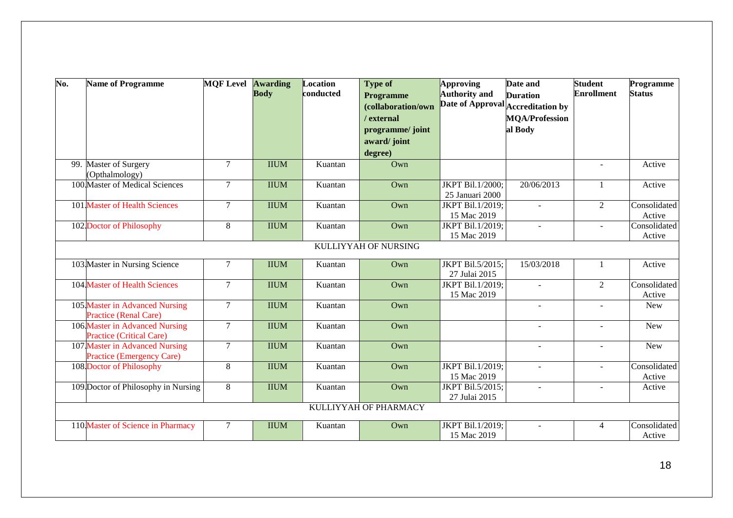| No. | <b>Name of Programme</b>            | <b>MOF Level Awarding</b> |             | Location  | <b>Type of</b>        | Approving                         | Date and              | <b>Student</b>    | Programme     |
|-----|-------------------------------------|---------------------------|-------------|-----------|-----------------------|-----------------------------------|-----------------------|-------------------|---------------|
|     |                                     |                           | <b>Body</b> | conducted | <b>Programme</b>      | <b>Authority</b> and              | <b>Duration</b>       | <b>Enrollment</b> | <b>Status</b> |
|     |                                     |                           |             |           | (collaboration/own    | Date of Approval Accreditation by |                       |                   |               |
|     |                                     |                           |             |           | / external            |                                   | <b>MQA/Profession</b> |                   |               |
|     |                                     |                           |             |           | programme/ joint      |                                   | al Body               |                   |               |
|     |                                     |                           |             |           | award/joint           |                                   |                       |                   |               |
|     |                                     |                           |             |           | degree)               |                                   |                       |                   |               |
| 99. | Master of Surgery                   | $7\phantom{.0}$           | <b>IIUM</b> | Kuantan   | Own                   |                                   |                       | $\sim$            | Active        |
|     | (Opthalmology)                      |                           |             |           |                       |                                   |                       |                   |               |
|     | 100 Master of Medical Sciences      | $\overline{7}$            | <b>IIUM</b> | Kuantan   | Own                   | JKPT Bil.1/2000;                  | 20/06/2013            | $\mathbf{1}$      | Active        |
|     |                                     |                           |             |           |                       | 25 Januari 2000                   |                       |                   |               |
|     | 101 Master of Health Sciences       | $\tau$                    | <b>IIUM</b> | Kuantan   | Own                   | JKPT Bil.1/2019;                  | $\blacksquare$        | $\overline{2}$    | Consolidated  |
|     |                                     |                           |             |           |                       | 15 Mac 2019                       |                       |                   | Active        |
|     | 102. Doctor of Philosophy           | 8                         | <b>IIUM</b> | Kuantan   | Own                   | JKPT Bil.1/2019;                  | $\sim$                | $\mathbf{r}$      | Consolidated  |
|     |                                     |                           |             |           |                       | 15 Mac 2019                       |                       |                   | Active        |
|     |                                     |                           |             |           | KULLIYYAH OF NURSING  |                                   |                       |                   |               |
|     | 103 Master in Nursing Science       | $7\phantom{.0}$           | <b>IIUM</b> | Kuantan   | Own                   | JKPT Bil.5/2015;                  | 15/03/2018            | $\mathbf{1}$      | Active        |
|     |                                     |                           |             |           |                       | 27 Julai 2015                     |                       |                   |               |
|     | 104 Master of Health Sciences       | $\overline{7}$            | <b>IIUM</b> | Kuantan   | Own                   | JKPT Bil.1/2019;                  |                       | $\overline{2}$    | Consolidated  |
|     |                                     |                           |             |           |                       | 15 Mac 2019                       |                       |                   | Active        |
|     | 105 Master in Advanced Nursing      | $\tau$                    | <b>IIUM</b> | Kuantan   | Own                   |                                   |                       | $\overline{a}$    | <b>New</b>    |
|     | <b>Practice (Renal Care)</b>        |                           |             |           |                       |                                   |                       |                   |               |
|     | 106 Master in Advanced Nursing      | $\overline{7}$            | <b>IIUM</b> | Kuantan   | Own                   |                                   |                       | ÷.                | <b>New</b>    |
|     | <b>Practice (Critical Care)</b>     |                           |             |           |                       |                                   |                       |                   |               |
|     | 107 Master in Advanced Nursing      | $\tau$                    | <b>IIUM</b> | Kuantan   | Own                   |                                   | $\blacksquare$        | $\blacksquare$    | <b>New</b>    |
|     | <b>Practice (Emergency Care)</b>    |                           |             |           |                       |                                   |                       |                   |               |
|     | 108. Doctor of Philosophy           | 8                         | <b>IIUM</b> | Kuantan   | Own                   | JKPT Bil.1/2019;                  | $\mathbf{r}$          | $\equiv$          | Consolidated  |
|     |                                     |                           |             |           |                       | 15 Mac 2019                       |                       |                   | Active        |
|     | 109 Doctor of Philosophy in Nursing | 8                         | <b>IIUM</b> | Kuantan   | Own                   | JKPT Bil.5/2015;                  |                       | ÷,                | Active        |
|     |                                     |                           |             |           |                       | 27 Julai 2015                     |                       |                   |               |
|     |                                     |                           |             |           | KULLIYYAH OF PHARMACY |                                   |                       |                   |               |
|     | 110 Master of Science in Pharmacy   | $\overline{7}$            | <b>IIUM</b> | Kuantan   | Own                   | JKPT Bil.1/2019;                  |                       | $\overline{4}$    | Consolidated  |
|     |                                     |                           |             |           |                       | 15 Mac 2019                       |                       |                   | Active        |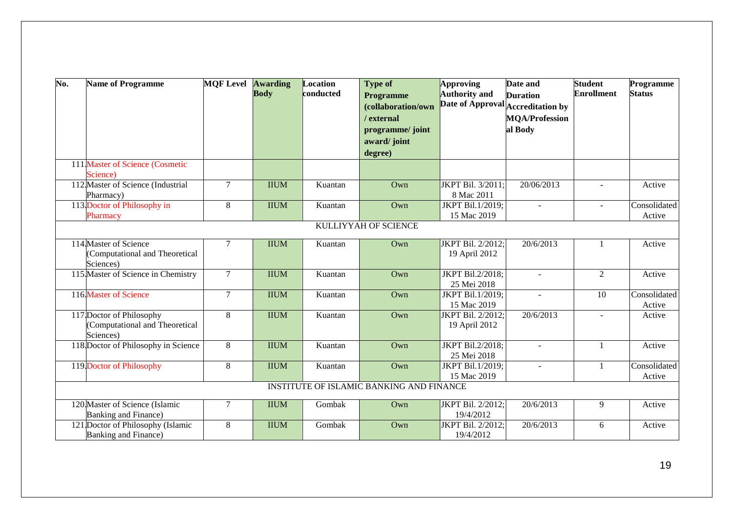| No. | <b>Name of Programme</b>            | <b>MOF Level</b> | <b>Awarding</b><br><b>Body</b> | Location<br>conducted | <b>Type of</b><br><b>Programme</b>       | Approving<br><b>Authority and</b> | Date and<br><b>Duration</b>       | <b>Student</b><br><b>Enrollment</b> | Programme<br><b>Status</b> |
|-----|-------------------------------------|------------------|--------------------------------|-----------------------|------------------------------------------|-----------------------------------|-----------------------------------|-------------------------------------|----------------------------|
|     |                                     |                  |                                |                       | (collaboration/own                       |                                   | Date of Approval Accreditation by |                                     |                            |
|     |                                     |                  |                                |                       | / external                               |                                   | <b>MQA/Profession</b>             |                                     |                            |
|     |                                     |                  |                                |                       |                                          |                                   |                                   |                                     |                            |
|     |                                     |                  |                                |                       | programme/ joint                         |                                   | al Body                           |                                     |                            |
|     |                                     |                  |                                |                       | award/joint                              |                                   |                                   |                                     |                            |
|     |                                     |                  |                                |                       | degree)                                  |                                   |                                   |                                     |                            |
|     | 111 Master of Science (Cosmetic     |                  |                                |                       |                                          |                                   |                                   |                                     |                            |
|     | Science)                            |                  |                                |                       |                                          |                                   |                                   |                                     |                            |
|     | 112 Master of Science (Industrial   | $\tau$           | <b>IIUM</b>                    | Kuantan               | Own                                      | JKPT Bil. 3/2011;                 | 20/06/2013                        | $\sim$                              | Active                     |
|     | Pharmacy)                           |                  |                                |                       |                                          | 8 Mac 2011                        |                                   |                                     |                            |
|     | 113. Doctor of Philosophy in        | 8                | <b>IIUM</b>                    | Kuantan               | Own                                      | JKPT Bil.1/2019;                  |                                   | $\overline{a}$                      | Consolidated               |
|     | Pharmacy                            |                  |                                |                       |                                          | 15 Mac 2019                       |                                   |                                     | Active                     |
|     |                                     |                  |                                |                       | <b>KULLIYYAH OF SCIENCE</b>              |                                   |                                   |                                     |                            |
|     | 114 Master of Science               | $\tau$           | <b>IIUM</b>                    | Kuantan               | Own                                      | JKPT Bil. 2/2012;                 | 20/6/2013                         | -1                                  | Active                     |
|     | (Computational and Theoretical      |                  |                                |                       |                                          | 19 April 2012                     |                                   |                                     |                            |
|     | Sciences)                           |                  |                                |                       |                                          |                                   |                                   |                                     |                            |
|     | 115 Master of Science in Chemistry  | $\overline{7}$   | <b>IIUM</b>                    | Kuantan               | Own                                      | JKPT Bil.2/2018;                  | $\sim$                            | $\overline{2}$                      | Active                     |
|     |                                     |                  |                                |                       |                                          | 25 Mei 2018                       |                                   |                                     |                            |
|     | 116. Master of Science              | $7\phantom{.0}$  | <b>IIUM</b>                    | Kuantan               | Own                                      | JKPT Bil.1/2019;                  |                                   | 10                                  | Consolidated               |
|     |                                     |                  |                                |                       |                                          | 15 Mac 2019                       |                                   |                                     | Active                     |
|     | 117 Doctor of Philosophy            | 8                | <b>IIUM</b>                    | Kuantan               | Own                                      | JKPT Bil. 2/2012;                 | 20/6/2013                         |                                     | Active                     |
|     | (Computational and Theoretical      |                  |                                |                       |                                          | 19 April 2012                     |                                   |                                     |                            |
|     | Sciences)                           |                  |                                |                       |                                          |                                   |                                   |                                     |                            |
|     | 118 Doctor of Philosophy in Science | 8                | <b>IIUM</b>                    | Kuantan               | Own                                      | JKPT Bil.2/2018;                  | $\sim$                            | $\mathbf{1}$                        | Active                     |
|     |                                     |                  |                                |                       |                                          | 25 Mei 2018                       |                                   |                                     |                            |
|     | 119 Doctor of Philosophy            | 8                | <b>IIUM</b>                    | Kuantan               | Own                                      | JKPT Bil.1/2019;                  | $\sim$                            | $\mathbf{1}$                        | Consolidated               |
|     |                                     |                  |                                |                       |                                          | 15 Mac 2019                       |                                   |                                     | Active                     |
|     |                                     |                  |                                |                       | INSTITUTE OF ISLAMIC BANKING AND FINANCE |                                   |                                   |                                     |                            |
|     | 120 Master of Science (Islamic      | $\overline{7}$   | <b>IIUM</b>                    | Gombak                | Own                                      | JKPT Bil. 2/2012;                 | 20/6/2013                         | 9                                   | Active                     |
|     | Banking and Finance)                |                  |                                |                       |                                          | 19/4/2012                         |                                   |                                     |                            |
|     | 121 Doctor of Philosophy (Islamic   | 8                | <b>IIUM</b>                    | Gombak                | Own                                      | JKPT Bil. 2/2012;                 | 20/6/2013                         | 6                                   | Active                     |
|     | Banking and Finance)                |                  |                                |                       |                                          | 19/4/2012                         |                                   |                                     |                            |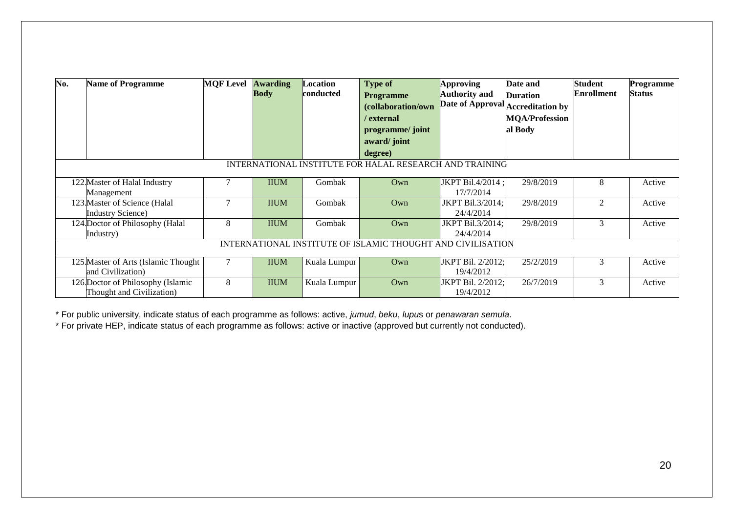| No. | <b>Name of Programme</b>                                       | <b>MOF Level</b> | <b>Awarding</b><br><b>Body</b> | Location<br>conducted | <b>Type of</b><br><b>Programme</b><br>(collaboration/own<br>/ external<br>programme/ joint<br>award/joint<br>degree) | Approving<br><b>Authority and</b> | Date and<br><b>Duration</b><br>Date of Approval Accreditation by<br><b>MQA/Profession</b><br>al Body | <b>Student</b><br><b>Enrollment</b> | <b>Programme</b><br><b>Status</b> |
|-----|----------------------------------------------------------------|------------------|--------------------------------|-----------------------|----------------------------------------------------------------------------------------------------------------------|-----------------------------------|------------------------------------------------------------------------------------------------------|-------------------------------------|-----------------------------------|
|     |                                                                |                  |                                |                       | INTERNATIONAL INSTITUTE FOR HALAL RESEARCH AND TRAINING                                                              |                                   |                                                                                                      |                                     |                                   |
|     | 122 Master of Halal Industry<br>Management                     |                  | <b>IIUM</b>                    | Gombak                | Own                                                                                                                  | JKPT Bil.4/2014 ;<br>17/7/2014    | 29/8/2019                                                                                            | 8                                   | Active                            |
|     | 123 Master of Science (Halal<br><b>Industry Science</b> )      |                  | <b>IIUM</b>                    | Gombak                | Own                                                                                                                  | JKPT Bil.3/2014;<br>24/4/2014     | 29/8/2019                                                                                            | $\overline{2}$                      | Active                            |
|     | 124 Doctor of Philosophy (Halal<br>Industry)                   | 8                | <b>IIUM</b>                    | Gombak                | Own                                                                                                                  | JKPT Bil.3/2014;<br>24/4/2014     | 29/8/2019                                                                                            | 3                                   | Active                            |
|     |                                                                |                  |                                |                       | INTERNATIONAL INSTITUTE OF ISLAMIC THOUGHT AND CIVILISATION                                                          |                                   |                                                                                                      |                                     |                                   |
|     | 125 Master of Arts (Islamic Thought<br>and Civilization)       |                  | <b>IIUM</b>                    | Kuala Lumpur          | Own                                                                                                                  | JKPT Bil. 2/2012;<br>19/4/2012    | 25/2/2019                                                                                            | 3                                   | Active                            |
|     | 126 Doctor of Philosophy (Islamic<br>Thought and Civilization) | 8                | <b>IIUM</b>                    | Kuala Lumpur          | Own                                                                                                                  | JKPT Bil. 2/2012; <br>19/4/2012   | 26/7/2019                                                                                            | 3                                   | Active                            |

\* For public university, indicate status of each programme as follows: active, *jumud*, *beku*, *lupu*s or *penawaran semula*.

\* For private HEP, indicate status of each programme as follows: active or inactive (approved but currently not conducted).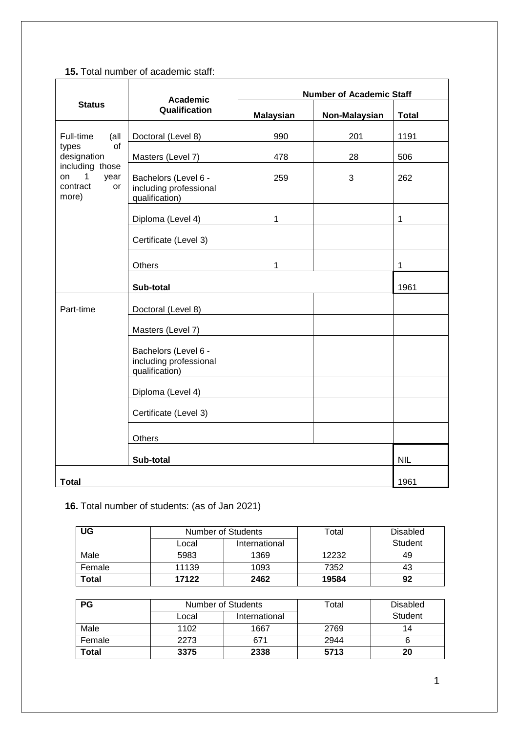## **15.** Total number of academic staff:

|                                                               | <b>Academic</b>                                                  | <b>Number of Academic Staff</b> |               |              |  |  |
|---------------------------------------------------------------|------------------------------------------------------------------|---------------------------------|---------------|--------------|--|--|
| <b>Status</b>                                                 | Qualification                                                    | <b>Malaysian</b>                | Non-Malaysian | <b>Total</b> |  |  |
| Full-time<br>(all                                             | Doctoral (Level 8)                                               | 990                             | 201           | 1191         |  |  |
| of<br>types<br>designation                                    | Masters (Level 7)                                                | 478                             | 28            | 506          |  |  |
| including those<br>1<br>on<br>year<br>contract<br>or<br>more) | Bachelors (Level 6 -<br>including professional<br>qualification) | 259                             | 3             | 262          |  |  |
|                                                               | Diploma (Level 4)                                                | 1                               |               | 1            |  |  |
|                                                               | Certificate (Level 3)                                            |                                 |               |              |  |  |
|                                                               | Others                                                           | 1                               |               | $\mathbf{1}$ |  |  |
|                                                               | Sub-total                                                        |                                 |               | 1961         |  |  |
| Part-time                                                     | Doctoral (Level 8)                                               |                                 |               |              |  |  |
|                                                               | Masters (Level 7)                                                |                                 |               |              |  |  |
|                                                               | Bachelors (Level 6 -<br>including professional<br>qualification) |                                 |               |              |  |  |
|                                                               | Diploma (Level 4)                                                |                                 |               |              |  |  |
|                                                               | Certificate (Level 3)                                            |                                 |               |              |  |  |
|                                                               | <b>Others</b>                                                    |                                 |               |              |  |  |
|                                                               | Sub-total                                                        | <b>NIL</b>                      |               |              |  |  |
| <b>Total</b>                                                  |                                                                  |                                 |               | 1961         |  |  |

# **16.** Total number of students: (as of Jan 2021)

| UG     | <b>Number of Students</b> |               | Total | <b>Disabled</b> |
|--------|---------------------------|---------------|-------|-----------------|
|        | Local                     | International |       | Student         |
| Male   | 5983                      | 1369          | 12232 | 49              |
| Female | 11139                     | 1093          | 7352  | 43              |
| Total  | 17122                     | 2462          | 19584 | 92              |

| <b>PG</b>    | <b>Number of Students</b> |               | Total | <b>Disabled</b> |
|--------------|---------------------------|---------------|-------|-----------------|
|              | Local                     | International |       | Student         |
| Male         | 1102                      | 1667          | 2769  | 14              |
| Female       | 2273                      | 671           | 2944  |                 |
| <b>Total</b> | 3375                      | 2338          | 5713  | 20              |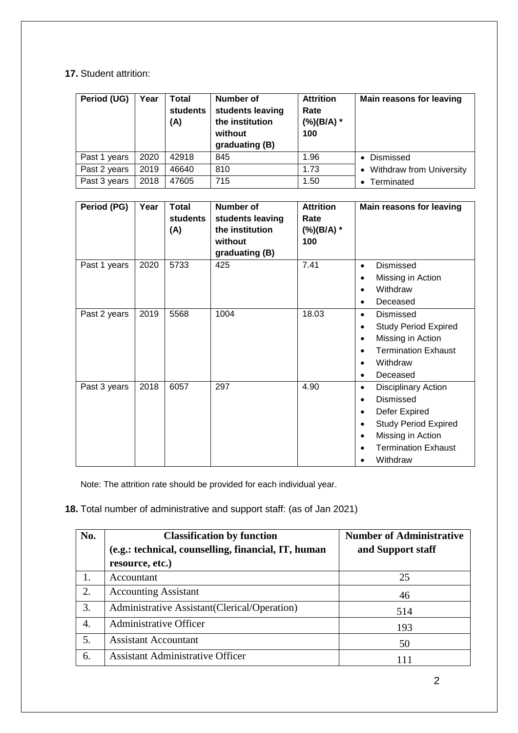## **17.** Student attrition:

| Period (UG)  | Year | Total<br>students<br>(A) | <b>Number of</b><br>students leaving<br>the institution<br>without<br>graduating (B) | <b>Attrition</b><br>Rate<br>$(\%)$ (B/A) *<br>100 | <b>Main reasons for leaving</b> |
|--------------|------|--------------------------|--------------------------------------------------------------------------------------|---------------------------------------------------|---------------------------------|
| Past 1 years | 2020 | 42918                    | 845                                                                                  | 1.96                                              | • Dismissed                     |
| Past 2 years | 2019 | 46640                    | 810                                                                                  | 1.73                                              | • Withdraw from University      |
| Past 3 years | 2018 | 47605                    | 715                                                                                  | 1.50                                              | • Terminated                    |

| Period (PG)  | Year | <b>Total</b><br>students<br>(A) | Number of<br>students leaving<br>the institution<br>without<br>graduating (B) | <b>Attrition</b><br>Rate<br>(%)(B/A) *<br>100 | <b>Main reasons for leaving</b>                                                                                                                             |
|--------------|------|---------------------------------|-------------------------------------------------------------------------------|-----------------------------------------------|-------------------------------------------------------------------------------------------------------------------------------------------------------------|
| Past 1 years | 2020 | 5733                            | 425                                                                           | 7.41                                          | Dismissed<br>$\bullet$<br>Missing in Action<br>Withdraw<br>Deceased                                                                                         |
| Past 2 years | 2019 | 5568                            | 1004                                                                          | 18.03                                         | Dismissed<br>$\bullet$<br><b>Study Period Expired</b><br>Missing in Action<br><b>Termination Exhaust</b><br>Withdraw<br>Deceased<br>$\bullet$               |
| Past 3 years | 2018 | 6057                            | 297                                                                           | 4.90                                          | <b>Disciplinary Action</b><br>Dismissed<br>Defer Expired<br>٠<br><b>Study Period Expired</b><br>Missing in Action<br><b>Termination Exhaust</b><br>Withdraw |

Note: The attrition rate should be provided for each individual year.

#### **18.** Total number of administrative and support staff: (as of Jan 2021)

| No.              | <b>Classification by function</b>                   | <b>Number of Administrative</b> |
|------------------|-----------------------------------------------------|---------------------------------|
|                  | (e.g.: technical, counselling, financial, IT, human | and Support staff               |
|                  | resource, etc.)                                     |                                 |
|                  | Accountant                                          | 25                              |
| 2.               | <b>Accounting Assistant</b>                         | 46                              |
| 3.               | Administrative Assistant (Clerical/Operation)       | 514                             |
| $\overline{4}$ . | Administrative Officer                              | 193                             |
| 5.               | <b>Assistant Accountant</b>                         | 50                              |
| 6.               | <b>Assistant Administrative Officer</b>             | 111                             |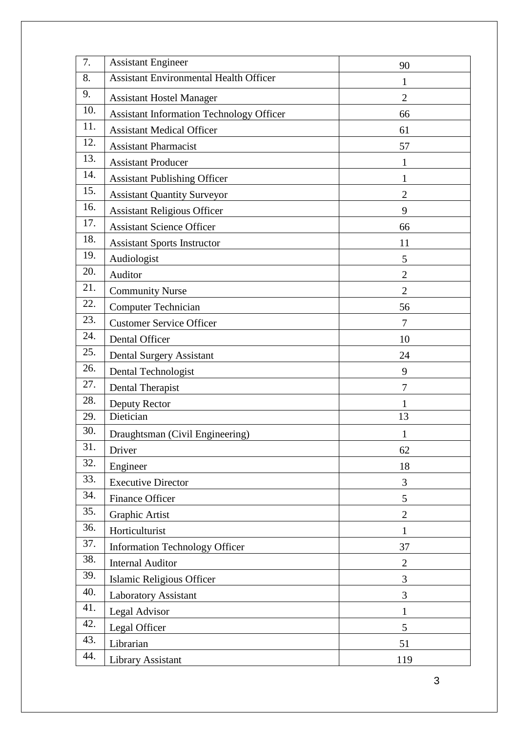| 7.  | <b>Assistant Engineer</b>                       | 90             |
|-----|-------------------------------------------------|----------------|
| 8.  | <b>Assistant Environmental Health Officer</b>   | 1              |
| 9.  | <b>Assistant Hostel Manager</b>                 | $\overline{2}$ |
| 10. | <b>Assistant Information Technology Officer</b> | 66             |
| 11. | <b>Assistant Medical Officer</b>                | 61             |
| 12. | <b>Assistant Pharmacist</b>                     | 57             |
| 13. | <b>Assistant Producer</b>                       | 1              |
| 14. | <b>Assistant Publishing Officer</b>             | $\mathbf{1}$   |
| 15. | <b>Assistant Quantity Surveyor</b>              | $\overline{c}$ |
| 16. | <b>Assistant Religious Officer</b>              | 9              |
| 17. | <b>Assistant Science Officer</b>                | 66             |
| 18. | <b>Assistant Sports Instructor</b>              | 11             |
| 19. | Audiologist                                     | 5              |
| 20. | Auditor                                         | $\overline{2}$ |
| 21. | <b>Community Nurse</b>                          | $\overline{2}$ |
| 22. | <b>Computer Technician</b>                      | 56             |
| 23. | <b>Customer Service Officer</b>                 | 7              |
| 24. | Dental Officer                                  | 10             |
| 25. | <b>Dental Surgery Assistant</b>                 | 24             |
| 26. | Dental Technologist                             | 9              |
| 27. | Dental Therapist                                | $\overline{7}$ |
| 28. | Deputy Rector                                   | 1              |
| 29. | Dietician                                       | 13             |
| 30. | Draughtsman (Civil Engineering)                 | $\mathbf 1$    |
| 31. | Driver                                          | 62             |
| 32. | Engineer                                        | 18             |
| 33. | <b>Executive Director</b>                       | 3              |
| 34. | Finance Officer                                 | 5              |
| 35. | Graphic Artist                                  | $\overline{2}$ |
| 36. | Horticulturist                                  | $\mathbf{1}$   |
| 37. | <b>Information Technology Officer</b>           | 37             |
| 38. | <b>Internal Auditor</b>                         | $\overline{2}$ |
| 39. | Islamic Religious Officer                       | 3              |
| 40. | Laboratory Assistant                            | 3              |
| 41. | Legal Advisor                                   | $\mathbf{1}$   |
| 42. | Legal Officer                                   | 5              |
| 43. | Librarian                                       | 51             |
| 44. | <b>Library Assistant</b>                        | 119            |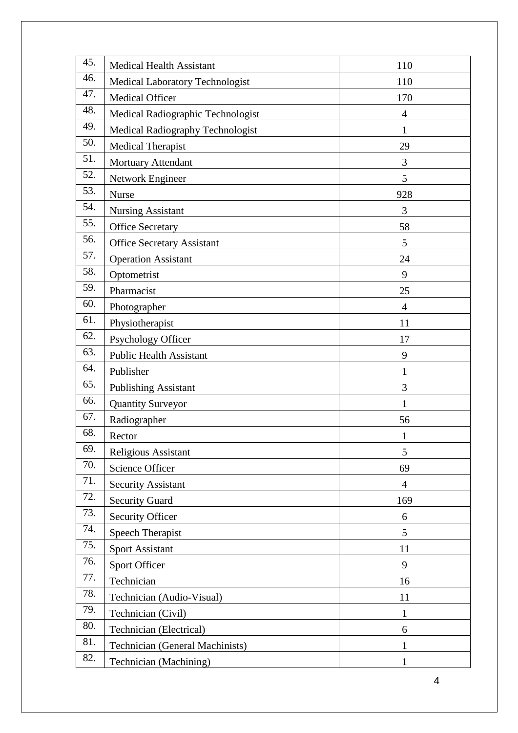| 45. | <b>Medical Health Assistant</b>        | 110            |
|-----|----------------------------------------|----------------|
| 46. | <b>Medical Laboratory Technologist</b> | 110            |
| 47. | Medical Officer                        | 170            |
| 48. | Medical Radiographic Technologist      | $\overline{4}$ |
| 49. | Medical Radiography Technologist       | $\mathbf{1}$   |
| 50. | <b>Medical Therapist</b>               | 29             |
| 51. | Mortuary Attendant                     | 3              |
| 52. | Network Engineer                       | 5              |
| 53. | <b>Nurse</b>                           | 928            |
| 54. | <b>Nursing Assistant</b>               | 3              |
| 55. | <b>Office Secretary</b>                | 58             |
| 56. | <b>Office Secretary Assistant</b>      | 5              |
| 57. | <b>Operation Assistant</b>             | 24             |
| 58. | Optometrist                            | 9              |
| 59. | Pharmacist                             | 25             |
| 60. | Photographer                           | $\overline{4}$ |
| 61. | Physiotherapist                        | 11             |
| 62. | Psychology Officer                     | 17             |
| 63. | <b>Public Health Assistant</b>         | 9              |
| 64. | Publisher                              | 1              |
| 65. | <b>Publishing Assistant</b>            | 3              |
| 66. | <b>Quantity Surveyor</b>               | $\mathbf{1}$   |
| 67. | Radiographer                           | 56             |
| 68. | Rector                                 | 1              |
| 69. | Religious Assistant                    | 5              |
| 70. | Science Officer                        | 69             |
| 71. | <b>Security Assistant</b>              | $\overline{4}$ |
| 72. | <b>Security Guard</b>                  | 169            |
| 73. | <b>Security Officer</b>                | 6              |
| 74. | <b>Speech Therapist</b>                | 5              |
| 75. | <b>Sport Assistant</b>                 | 11             |
| 76. | Sport Officer                          | 9              |
| 77. | Technician                             | 16             |
| 78. | Technician (Audio-Visual)              | 11             |
| 79. | Technician (Civil)                     | 1              |
| 80. | Technician (Electrical)                | 6              |
| 81. | <b>Technician (General Machinists)</b> | 1              |
| 82. | Technician (Machining)                 |                |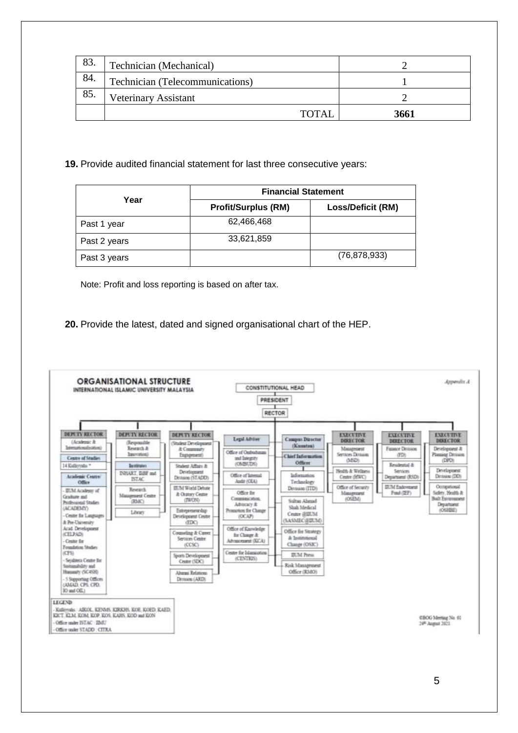| 83. | Technician (Mechanical)         |      |
|-----|---------------------------------|------|
| 84. | Technician (Telecommunications) |      |
| 85. | <b>Veterinary Assistant</b>     |      |
|     | <b>TOTAL</b>                    | 3661 |

#### **19.** Provide audited financial statement for last three consecutive years:

|              | <b>Financial Statement</b> |                          |  |  |
|--------------|----------------------------|--------------------------|--|--|
| Year         | <b>Profit/Surplus (RM)</b> | <b>Loss/Deficit (RM)</b> |  |  |
| Past 1 year  | 62,466,468                 |                          |  |  |
| Past 2 years | 33,621,859                 |                          |  |  |
| Past 3 years |                            | (76, 878, 933)           |  |  |

Note: Profit and loss reporting is based on after tax.

**20.** Provide the latest, dated and signed organisational chart of the HEP.